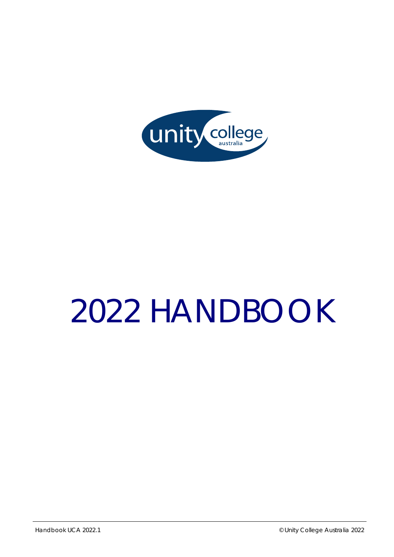

# *2022 HANDBOOK*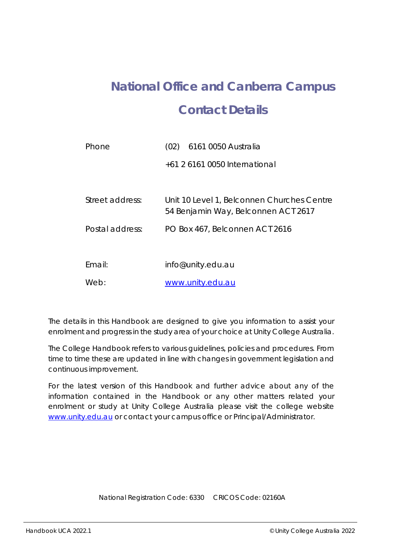## **National Office and Canberra Campus Contact Details**

| Phone           | 6161 0050 Australia<br>(02)                |
|-----------------|--------------------------------------------|
|                 | +61 2 6161 0050 International              |
| Street address: | Unit 10 Level 1, Belconnen Churches Centre |
|                 | 54 Benjamin Way, Belconnen ACT 2617        |
| Postal address: | PO Box 467, Belconnen ACT 2616             |
|                 |                                            |
| Email:          | info@unity.edu.au                          |
| Web:            | www.unity.edu.au                           |

The details in this Handbook are designed to give you information to assist your enrolment and progress in the study area of your choice at Unity College Australia.

The College Handbook refers to various guidelines, policies and procedures. From time to time these are updated in line with changes in government legislation and continuous improvement.

For the latest version of this Handbook and further advice about any of the information contained in the Handbook or any other matters related your enrolment or study at Unity College Australia please visit the college website www.unity.edu.au or contact your campus office or Principal/Administrator.

National Registration Code: 6330 CRICOS Code: 02160A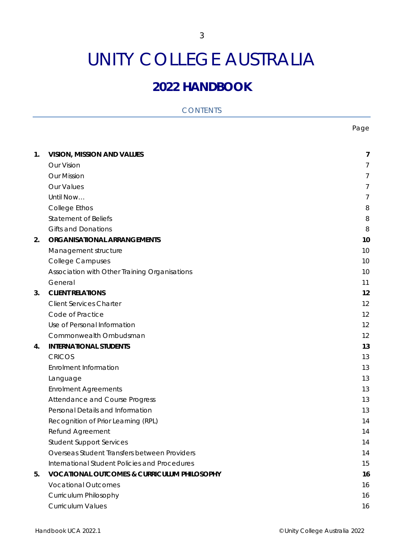## UNITY COLLEGE AUSTRALIA

### **2022 HANDBOOK**

| <b>CONTENTS</b> |  |  |
|-----------------|--|--|
|                 |  |  |

nd a bhliain 1992 agus an t-Iomraid ann an t-Iomraid ann an t-Iomraid ann an t-Iomraid ann an t-Iomraid ann an

| 1. | <b>VISION, MISSION AND VALUES</b>                      | 7  |
|----|--------------------------------------------------------|----|
|    | Our Vision                                             | 7  |
|    | <b>Our Mission</b>                                     | 7  |
|    | Our Values                                             | 7  |
|    | Until Now                                              | 7  |
|    | College Ethos                                          | 8  |
|    | <b>Statement of Beliefs</b>                            | 8  |
|    | <b>Gifts and Donations</b>                             | 8  |
| 2. | <b>ORGANISATIONAL ARRANGEMENTS</b>                     | 10 |
|    | Management structure                                   | 10 |
|    | <b>College Campuses</b>                                | 10 |
|    | Association with Other Training Organisations          | 10 |
|    | General                                                | 11 |
| 3. | <b>CLIENT RELATIONS</b>                                | 12 |
|    | <b>Client Services Charter</b>                         | 12 |
|    | Code of Practice                                       | 12 |
|    | Use of Personal Information                            | 12 |
|    | Commonwealth Ombudsman                                 | 12 |
| 4. | <b>INTERNATIONAL STUDENTS</b>                          | 13 |
|    | <b>CRICOS</b>                                          | 13 |
|    | <b>Enrolment Information</b>                           | 13 |
|    | Language                                               | 13 |
|    | <b>Enrolment Agreements</b>                            | 13 |
|    | Attendance and Course Progress                         | 13 |
|    | Personal Details and Information                       | 13 |
|    | Recognition of Prior Learning (RPL)                    | 14 |
|    | Refund Agreement                                       | 14 |
|    | <b>Student Support Services</b>                        | 14 |
|    | Overseas Student Transfers between Providers           | 14 |
|    | International Student Policies and Procedures          | 15 |
| 5. | <b>VOCATIONAL OUTCOMES &amp; CURRICULUM PHILOSOPHY</b> | 16 |
|    | <b>Vocational Outcomes</b>                             | 16 |
|    | Curriculum Philosophy                                  | 16 |
|    | <b>Curriculum Values</b>                               | 16 |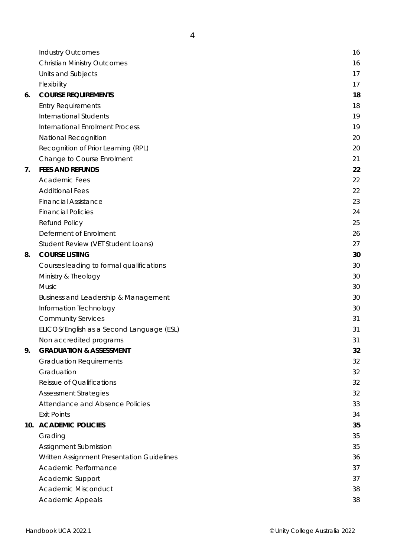|    | <b>Industry Outcomes</b>                   | 16 |
|----|--------------------------------------------|----|
|    | <b>Christian Ministry Outcomes</b>         | 16 |
|    | Units and Subjects                         | 17 |
|    | Flexibility                                | 17 |
| 6. | <b>COURSE REQUIREMENTS</b>                 | 18 |
|    | <b>Entry Requirements</b>                  | 18 |
|    | <b>International Students</b>              | 19 |
|    | <b>International Enrolment Process</b>     | 19 |
|    | National Recognition                       | 20 |
|    | Recognition of Prior Learning (RPL)        | 20 |
|    | Change to Course Enrolment                 | 21 |
| 7. | <b>FEES AND REFUNDS</b>                    | 22 |
|    | <b>Academic Fees</b>                       | 22 |
|    | <b>Additional Fees</b>                     | 22 |
|    | <b>Financial Assistance</b>                | 23 |
|    | <b>Financial Policies</b>                  | 24 |
|    | Refund Policy                              | 25 |
|    | Deferment of Enrolment                     | 26 |
|    | Student Review (VET Student Loans)         | 27 |
| 8. | <b>COURSE LISTING</b>                      | 30 |
|    | Courses leading to formal qualifications   | 30 |
|    | Ministry & Theology                        | 30 |
|    | <b>Music</b>                               | 30 |
|    | Business and Leadership & Management       | 30 |
|    | Information Technology                     | 30 |
|    | <b>Community Services</b>                  | 31 |
|    | ELICOS/English as a Second Language (ESL)  | 31 |
|    | Non accredited programs                    | 31 |
| 9. | <b>GRADUATION &amp; ASSESSMENT</b>         | 32 |
|    | <b>Graduation Requirements</b>             | 32 |
|    | Graduation                                 | 32 |
|    | Reissue of Qualifications                  | 32 |
|    | <b>Assessment Strategies</b>               | 32 |
|    | Attendance and Absence Policies            | 33 |
|    | <b>Exit Points</b>                         | 34 |
|    | 10. ACADEMIC POLICIES                      | 35 |
|    | Grading                                    | 35 |
|    | Assignment Submission                      | 35 |
|    | Written Assignment Presentation Guidelines | 36 |
|    | Academic Performance                       | 37 |
|    | Academic Support                           | 37 |
|    | Academic Misconduct                        | 38 |
|    | <b>Academic Appeals</b>                    | 38 |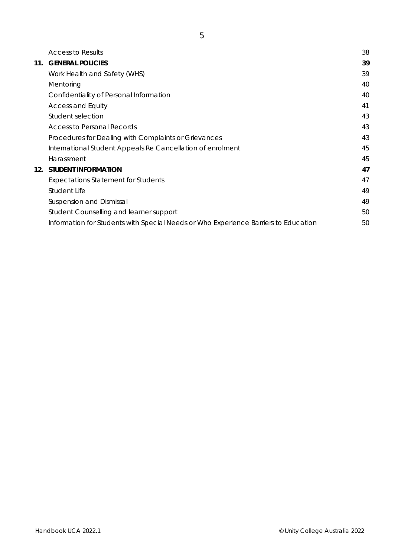|     | <b>Access to Results</b>                                                            | 38 |
|-----|-------------------------------------------------------------------------------------|----|
| 11. | <b>GENERAL POLICIES</b>                                                             | 39 |
|     | Work Health and Safety (WHS)                                                        | 39 |
|     | Mentoring                                                                           | 40 |
|     | Confidentiality of Personal Information                                             | 40 |
|     | <b>Access and Equity</b>                                                            | 41 |
|     | Student selection                                                                   | 43 |
|     | <b>Access to Personal Records</b>                                                   | 43 |
|     | Procedures for Dealing with Complaints or Grievances                                | 43 |
|     | International Student Appeals Re Cancellation of enrolment                          | 45 |
|     | Harassment                                                                          | 45 |
|     | 12. STUDENT INFORMATION                                                             | 47 |
|     | <b>Expectations Statement for Students</b>                                          | 47 |
|     | Student Life                                                                        | 49 |
|     | <b>Suspension and Dismissal</b>                                                     | 49 |
|     | Student Counselling and learner support                                             | 50 |
|     | Information for Students with Special Needs or Who Experience Barriers to Education | 50 |
|     |                                                                                     |    |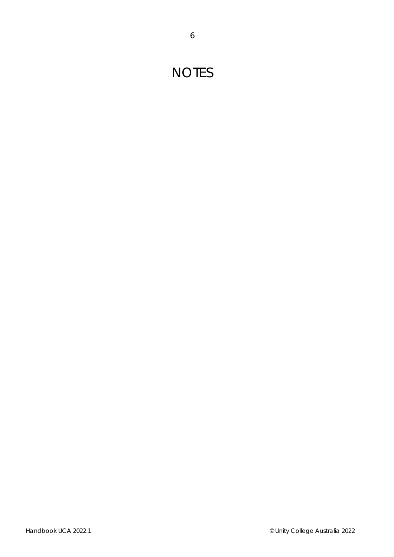## **NOTES**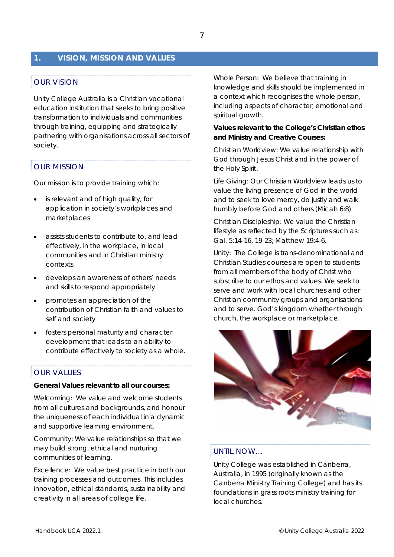#### **1. VISION, MISSION AND VALUES**

#### OUR VISION

Unity College Australia is a Christian vocational education institution that seeks to bring positive transformation to individuals and communities through training, equipping and strategically partnering with organisations across all sectors of society.

#### OUR MISSION

Our mission is to provide training which:

- is relevant and of high quality, for application in society's workplaces and marketplaces
- assists students to contribute to, and lead effectively, in the workplace, in local communities and in Christian ministry contexts
- develops an awareness of others' needs and skills to respond appropriately
- promotes an appreciation of the contribution of Christian faith and values to self and society
- fosters personal maturity and character development that leads to an ability to contribute effectively to society as a whole.

#### OUR VALUES

#### *General Values relevant to all our courses:*

*Welcoming:* We value and welcome students from all cultures and backgrounds, and honour the uniqueness of each individual in a dynamic and supportive learning environment.

*Community:* We value relationships so that we may build strong, ethical and nurturing communities of learning.

*Excellence:* We value best practice in both our training processes and outcomes. This includes innovation, ethical standards, sustainability and creativity in all areas of college life.

*Whole Person:* We believe that training in knowledge and skills should be implemented in a context which recognises the whole person, including aspects of character, emotional and spiritual growth.

#### *Values relevant to the College's Christian ethos and Ministry and Creative Courses:*

*Christian Worldview:* We value relationship with God through Jesus Christ and in the power of the Holy Spirit.

*Life Giving:* Our Christian Worldview leads us to value the living presence of God in the world and to seek to love mercy, do justly and walk humbly before God and others (Micah 6:8)

*Christian Discipleship:* We value the Christian lifestyle as reflected by the Scriptures such as: Gal. 5:14-16, 19-23; Matthew 19:4-6.

*Unity:* The College is trans-denominational and Christian Studies courses are open to students from all members of the body of Christ who subscribe to our ethos and values. We seek to serve and work with local churches and other Christian community groups and organisations and to serve. God's kingdom whether through church, the workplace or marketplace.



#### UNTIL NOW…

Unity College was established in Canberra, Australia, in 1995 (originally known as the Canberra Ministry Training College) and has its foundations in grass roots ministry training for local churches.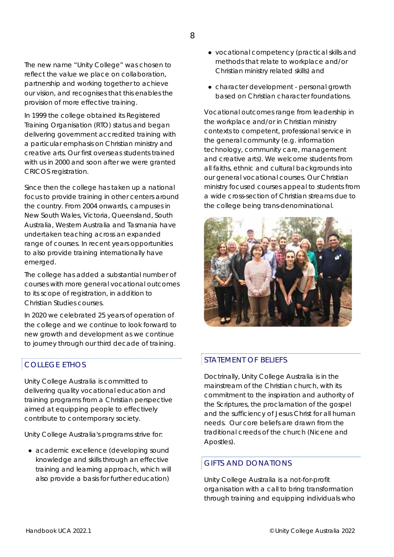In 1999 the college obtained its Registered Training Organisation (RTO) status and began delivering government accredited training with a particular emphasis on Christian ministry and creative arts. Our first overseas students trained with us in 2000 and soon after we were granted CRICOS registration.

Since then the college has taken up a national focus to provide training in other centers around the country. From 2004 onwards, campuses in New South Wales, Victoria, Queensland, South Australia, Western Australia and Tasmania have undertaken teaching across an expanded range of courses. In recent years opportunities to also provide training internationally have emerged.

The college has added a substantial number of courses with more general vocational outcomes to its scope of registration, in addition to Christian Studies courses.

In 2020 we celebrated 25 years of operation of the college and we continue to look forward to new growth and development as we continue to journey through our third decade of training.

#### COLLEGE ETHOS

Unity College Australia is committed to delivering quality vocational education and training programs from a Christian perspective aimed at equipping people to effectively contribute to contemporary society.

Unity College Australia's programs strive for:

● academic excellence (developing sound knowledge and skills through an effective training and learning approach, which will also provide a basis for further education)

- vocational competency (practical skills and methods that relate to workplace and/or Christian ministry related skills) and
- character development personal growth based on Christian character foundations.

Vocational outcomes range from leadership in the workplace and/or in Christian ministry contexts to competent, professional service in the general community (e.g. information technology, community care, management and creative arts). We welcome students from all faiths, ethnic and cultural backgrounds into our general vocational courses. Our Christian ministry focused courses appeal to students from a wide cross-section of Christian streams due to the college being trans-denominational.



#### STATEMENT OF BELIEFS

Doctrinally, Unity College Australia is in the mainstream of the Christian church, with its commitment to the inspiration and authority of the Scriptures, the proclamation of the gospel and the sufficiency of Jesus Christ for all human needs. Our core beliefs are drawn from the traditional creeds of the church (Nicene and Apostles).

#### GIFTS AND DONATIONS

Unity College Australia is a not-for-profit organisation with a call to bring transformation through training and equipping individuals who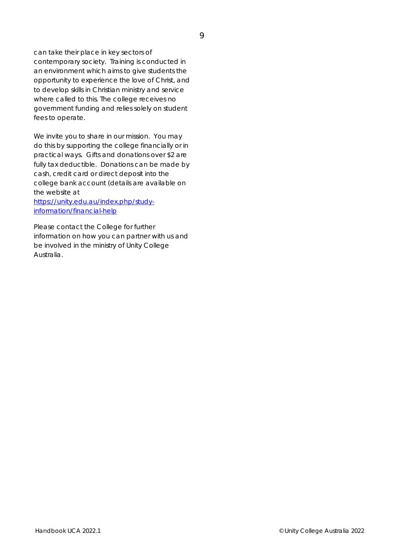can take their place in key sectors of contemporary society. Training is conducted in an environment which aims to give students the opportunity to experience the love of Christ, and to develop skills in Christian ministry and service where called to this. The college receives no government funding and relies solely on student fees to operate.

We invite you to share in our mission. You may do this by supporting the college financially or in practical ways. Gifts and donations over \$2 are fully tax deductible. Donations can be made by cash, credit card or direct deposit into the college bank account (details are available on the website at

*https://unity.edu.au/index.php/studyinformation/financial-help*

Please contact the College for further information on how you can partner with us and be involved in the ministry of Unity College Australia.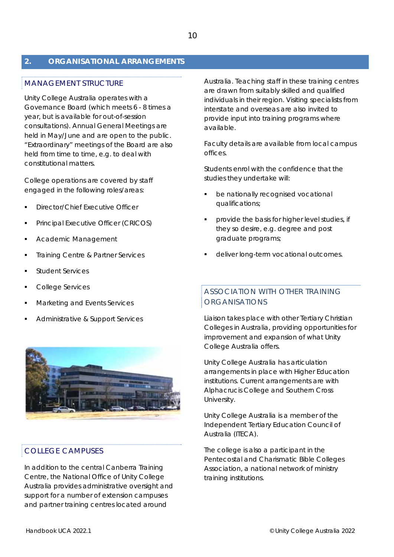#### **2. ORGANISATIONAL ARRANGEMENTS**

#### MANAGEMENT STRUCTURE

Unity College Australia operates with a Governance Board (which meets 6 - 8 times a year, but is available for out-of-session consultations). Annual General Meetings are held in May/June and are open to the public. "Extraordinary" meetings of the Board are also held from time to time, e.g. to deal with constitutional matters.

College operations are covered by staff engaged in the following roles/areas:

- Director/Chief Executive Officer
- Principal Executive Officer (CRICOS)
- Academic Management
- Training Centre & Partner Services
- Student Services
- College Services
- Marketing and Events Services
- Administrative & Support Services



#### COLLEGE CAMPUSES

In addition to the central Canberra Training Centre, the National Office of Unity College Australia provides administrative oversight and support for a number of extension campuses and partner training centres located around

Australia. Teaching staff in these training centres are drawn from suitably skilled and qualified individuals in their region. Visiting specialists from interstate and overseas are also invited to provide input into training programs where available.

Faculty details are available from local campus offices.

Students enrol with the confidence that the studies they undertake will:

- be nationally recognised vocational qualifications;
- provide the basis for higher level studies, if they so desire, e.g. degree and post graduate programs;
- deliver long-term vocational outcomes.

#### ASSOCIATION WITH OTHER TRAINING ORGANISATIONS

Liaison takes place with other Tertiary Christian Colleges in Australia, providing opportunities for improvement and expansion of what Unity College Australia offers.

Unity College Australia has articulation arrangements in place with Higher Education institutions. Current arrangements are with Alphacrucis College and Southern Cross University.

Unity College Australia is a member of the Independent Tertiary Education Council of Australia (ITECA).

The college is also a participant in the Pentecostal and Charismatic Bible Colleges Association, a national network of ministry training institutions.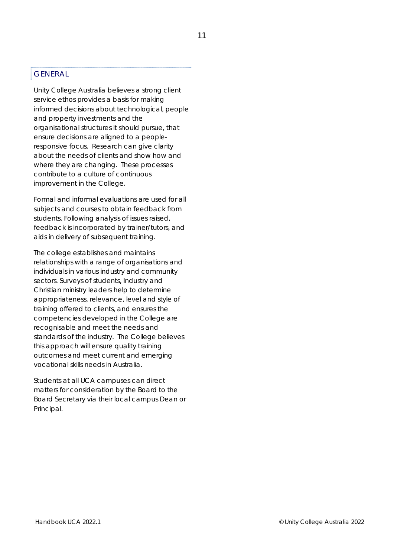#### GENERAL

Unity College Australia believes a strong client service ethos provides a basis for making informed decisions about technological, people and property investments and the organisational structures it should pursue, that ensure decisions are aligned to a peopleresponsive focus. Research can give clarity about the needs of clients and show how and where they are changing. These processes contribute to a culture of continuous improvement in the College.

Formal and informal evaluations are used for all subjects and courses to obtain feedback from students. Following analysis of issues raised, feedback is incorporated by trainer/tutors, and aids in delivery of subsequent training.

The college establishes and maintains relationships with a range of organisations and individuals in various industry and community sectors. Surveys of students, Industry and Christian ministry leaders help to determine appropriateness, relevance, level and style of training offered to clients, and ensures the competencies developed in the College are recognisable and meet the needs and standards of the industry. The College believes this approach will ensure quality training outcomes and meet current and emerging vocational skills needs in Australia.

Students at all UCA campuses can direct matters for consideration by the Board to the Board Secretary via their local campus Dean or Principal.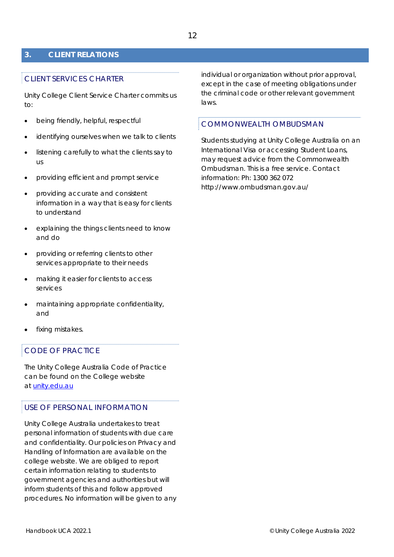#### **3. CLIENT RELATIONS**

#### CLIENT SERVICES CHARTER

Unity College Client Service Charter commits us to:

- being friendly, helpful, respectful
- identifying ourselves when we talk to clients
- listening carefully to what the clients say to us
- providing efficient and prompt service
- providing accurate and consistent information in a way that is easy for clients to understand
- explaining the things clients need to know and do
- providing or referring clients to other services appropriate to their needs
- making it easier for clients to access services
- maintaining appropriate confidentiality, and
- fixing mistakes.

#### CODE OF PRACTICE

The Unity College Australia Code of Practice can be found on the College website *at unity.edu.au* 

#### USE OF PERSONAL INFORMATION

Unity College Australia undertakes to treat personal information of students with due care and confidentiality. Our policies on Privacy and Handling of Information are available on the college website. We are obliged to report certain information relating to students to government agencies and authorities but will inform students of this and follow approved procedures. No information will be given to any individual or organization without prior approval, except in the case of meeting obligations under the criminal code or other relevant government laws.

#### COMMONWEALTH OMBUDSMAN

Students studying at Unity College Australia on an International Visa or accessing Student Loans, may request advice from the Commonwealth Ombudsman. This is a free service. Contact information: Ph: 1300 362 072 http://www.ombudsman.gov.au/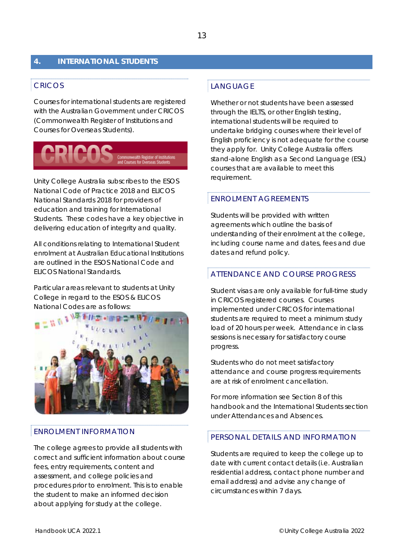#### **4. INTERNATIONAL STUDENTS**

#### CRICOS

Courses for international students are registered with the Australian Government under CRICOS (Commonwealth Register of Institutions and Courses for Overseas Students).



Unity College Australia subscribes to the ESOS National Code of Practice 2018 and ELICOS National Standards 2018 for providers of education and training for International Students. These codes have a key objective in delivering education of integrity and quality.

All conditions relating to International Student enrolment at Australian Educational Institutions are outlined in the ESOS National Code and ELICOS National Standards.

Particular areas relevant to students at Unity College in regard to the ESOS & ELICOS National Codes are as follows:



#### ENROLMENT INFORMATION

The college agrees to provide all students with correct and sufficient information about course fees, entry requirements, content and assessment, and college policies and procedures prior to enrolment. This is to enable the student to make an informed decision about applying for study at the college.

#### LANGUAGE

Whether or not students have been assessed through the IELTS, or other English testing, international students will be required to undertake bridging courses where their level of English proficiency is not adequate for the course they apply for. Unity College Australia offers stand-alone English as a Second Language (ESL) courses that are available to meet this requirement.

#### ENROLMENT AGREEMENTS

Students will be provided with written agreements which outline the basis of understanding of their enrolment at the college, including course name and dates, fees and due dates and refund policy.

#### ATTENDANCE AND COURSE PROGRESS

Student visas are only available for full-time study in CRICOS registered courses. Courses implemented under CRICOS for international students are required to meet a minimum study load of 20 hours per week. Attendance in class sessions is necessary for satisfactory course progress.

Students who do not meet satisfactory attendance and course progress requirements are at risk of enrolment cancellation.

For more information see Section 8 of this handbook and the International Students section under Attendances and Absences.

#### PERSONAL DETAILS AND INFORMATION

Students are required to keep the college up to date with current contact details (i.e. Australian residential address, contact phone number and email address) and advise any change of circumstances within 7 days.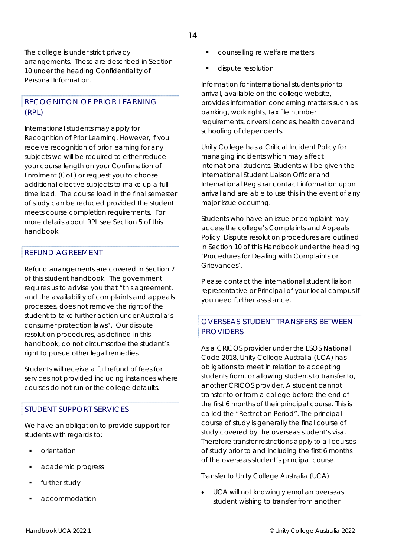The college is under strict privacy arrangements. These are described in Section 10 under the heading Confidentiality of Personal Information.

#### RECOGNITION OF PRIOR LEARNING (RPL)

International students may apply for Recognition of Prior Learning. However, if you receive recognition of prior learning for any subjects we will be required to either reduce your course length on your Confirmation of Enrolment (CoE) or request you to choose additional elective subjects to make up a full time load. The course load in the final semester of study can be reduced provided the student meets course completion requirements. For more details about RPL see Section 5 of this handbook.

#### REFUND AGREEMENT

Refund arrangements are covered in Section 7 of this student handbook. The government requires us to advise you that "this agreement, and the availability of complaints and appeals processes, does not remove the right of the student to take further action under Australia's consumer protection laws". Our dispute resolution procedures, as defined in this handbook, do not circumscribe the student's right to pursue other legal remedies.

Students will receive a full refund of fees for services not provided including instances where courses do not run or the college defaults.

#### STUDENT SUPPORT SERVICES

We have an obligation to provide support for students with regards to:

- **•** orientation
- academic progress
- further study
- accommodation
- counselling re welfare matters
- **dispute resolution**

Information for international students prior to arrival, available on the college website, provides information concerning matters such as banking, work rights, tax file number requirements, drivers licences, health cover and schooling of dependents.

Unity College has a Critical Incident Policy for managing incidents which may affect international students. Students will be given the International Student Liaison Officer and International Registrar contact information upon arrival and are able to use this in the event of any major issue occurring.

Students who have an issue or complaint may access the college's Complaints and Appeals Policy. Dispute resolution procedures are outlined in Section 10 of this Handbook under the heading 'Procedures for Dealing with Complaints or Grievances'.

Please contact the international student liaison representative or Principal of your local campus if you need further assistance.

#### OVERSEAS STUDENT TRANSFERS BETWEEN PROVIDERS

As a CRICOS provider under the ESOS National Code 2018, Unity College Australia (UCA) has obligations to meet in relation to accepting students from, or allowing students to transfer to, another CRICOS provider. A student cannot transfer to or from a college before the end of the first 6 months of their principal course. This is called the "Restriction Period". The principal course of study is generally the final course of study covered by the overseas student's visa. Therefore transfer restrictions apply to all courses of study prior to and including the first 6 months of the overseas student's principal course.

#### *Transfer to Unity College Australia (UCA):*

 UCA will not knowingly enrol an overseas student wishing to transfer from another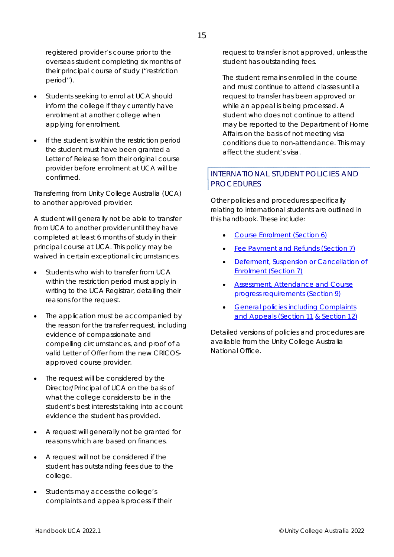registered provider's course prior to the overseas student completing six months of their principal course of study ("restriction period").

- Students seeking to enrol at UCA should inform the college if they currently have enrolment at another college when applying for enrolment.
- If the student is within the restriction period the student must have been granted a Letter of Release from their original course provider before enrolment at UCA will be confirmed.

#### *Transferring from Unity College Australia (UCA) to another approved provider:*

A student will generally not be able to transfer from UCA to another provider until they have completed at least 6 months of study in their principal course at UCA. This policy may be waived in certain exceptional circumstances.

- Students who wish to transfer from UCA within the restriction period must apply in writing to the UCA Registrar, detailing their reasons for the request.
- The application must be accompanied by the reason for the transfer request, including evidence of compassionate and compelling circumstances, and proof of a valid Letter of Offer from the new CRICOSapproved course provider.
- The request will be considered by the Director/Principal of UCA on the basis of what the college considers to be in the student's best interests taking into account evidence the student has provided.
- A request will generally not be granted for reasons which are based on finances.
- A request will not be considered if the student has outstanding fees due to the college.
- Students may access the college's complaints and appeals process if their

request to transfer is not approved, unless the student has outstanding fees.

The student remains enrolled in the course and must continue to attend classes until a request to transfer has been approved or while an appeal is being processed. A student who does not continue to attend may be reported to the Department of Home Affairs on the basis of not meeting visa conditions due to non-attendance. This may affect the student's visa.

#### INTERNATIONAL STUDENT POLICIES AND **PROCEDURES**

Other policies and procedures specifically relating to international students are outlined in this handbook. These include:

- Course Enrolment (Section 6)
- Fee Payment and Refunds (Section 7)
- Deferment, Suspension or Cancellation of Enrolment (Section 7)
- Assessment, Attendance and Course progress requirements (Section 9)
- **General policies including Complaints** and Appeals (Section 11 & Section 12)

Detailed versions of policies and procedures are available from the Unity College Australia National Office.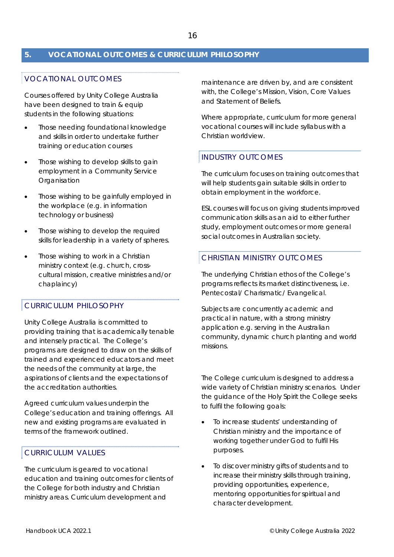#### **5. VOCATIONAL OUTCOMES & CURRICULUM PHILOSOPHY**

#### VOCATIONAL OUTCOMES

Courses offered by Unity College Australia have been designed to train & equip students in the following situations:

- Those needing foundational knowledge and skills in order to undertake further training or education courses
- Those wishing to develop skills to gain employment in a Community Service Organisation
- Those wishing to be gainfully employed in the workplace (e.g. in information technology or business)
- Those wishing to develop the required skills for leadership in a variety of spheres.
- Those wishing to work in a Christian ministry context (e.g. church, crosscultural mission, creative ministries and/or chaplaincy)

#### CURRICULUM PHILOSOPHY

Unity College Australia is committed to providing training that is academically tenable and intensely practical. The College's programs are designed to draw on the skills of trained and experienced educators and meet the needs of the community at large, the aspirations of clients and the expectations of the accreditation authorities.

Agreed curriculum values underpin the College's education and training offerings. All new and existing programs are evaluated in terms of the framework outlined.

#### CURRICULUM VALUES

The curriculum is geared to vocational education and training outcomes for clients of the College for both industry and Christian ministry areas. Curriculum development and

maintenance are driven by, and are consistent with, the College's Mission, Vision, Core Values and Statement of Beliefs.

Where appropriate, curriculum for more general vocational courses will include syllabus with a Christian worldview.

#### INDUSTRY OUTCOMES

The curriculum focuses on training outcomes that will help students gain suitable skills in order to obtain employment in the workforce.

ESL courses will focus on giving students improved communication skills as an aid to either further study, employment outcomes or more general social outcomes in Australian society.

#### CHRISTIAN MINISTRY OUTCOMES

The underlying Christian ethos of the College's programs reflects its market distinctiveness, i.e. Pentecostal/ Charismatic/ Evangelical.

Subjects are concurrently academic and practical in nature, with a strong ministry application e.g. serving in the Australian community, dynamic church planting and world missions.

The College curriculum is designed to address a wide variety of Christian ministry scenarios. Under the guidance of the Holy Spirit the College seeks to fulfil the following goals:

- To increase students' understanding of Christian ministry and the importance of working together under God to fulfil His purposes.
- To discover ministry gifts of students and to increase their ministry skills through training, providing opportunities, experience, mentoring opportunities for spiritual and character development.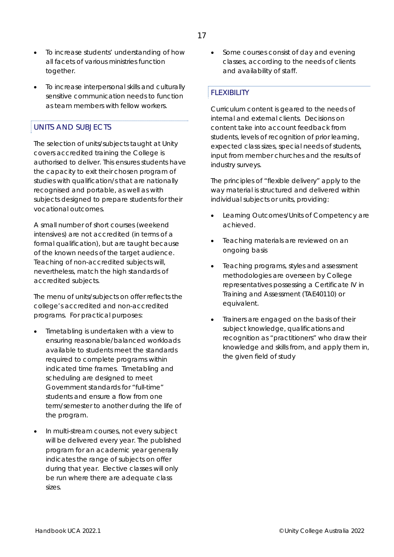- To increase students' understanding of how all facets of various ministries function together.
- To increase interpersonal skills and culturally sensitive communication needs to function as team members with fellow workers.

#### UNITS AND SUBJECTS

The selection of units/subjects taught at Unity covers accredited training the College is authorised to deliver. This ensures students have the capacity to exit their chosen program of studies with qualification/s that are nationally recognised and portable, as well as with subjects designed to prepare students for their vocational outcomes.

A small number of short courses (weekend intensives) are not accredited (in terms of a formal qualification), but are taught because of the known needs of the target audience. Teaching of non-accredited subjects will, nevertheless, match the high standards of accredited subjects.

The menu of units/subjects on offer reflects the college's accredited and non-accredited programs. For practical purposes:

- Timetabling is undertaken with a view to ensuring reasonable/balanced workloads available to students meet the standards required to complete programs within indicated time frames. Timetabling and scheduling are designed to meet Government standards for "full-time" students and ensure a flow from one term/semester to another during the life of the program.
- In multi-stream courses, not every subject will be delivered every year. The published program for an academic year generally indicates the range of subjects on offer during that year. Elective classes will only be run where there are adequate class sizes.

• Some courses consist of day and evening classes, according to the needs of clients and availability of staff.

#### FLEXIBILITY

Curriculum content is geared to the needs of internal and external clients. Decisions on content take into account feedback from students, levels of recognition of prior learning, expected class sizes, special needs of students, input from member churches and the results of industry surveys.

The principles of "flexible delivery" apply to the way material is structured and delivered within individual subjects or units, providing:

- Learning Outcomes/Units of Competency are achieved.
- Teaching materials are reviewed on an ongoing basis
- Teaching programs, styles and assessment methodologies are overseen by College representatives possessing a Certificate IV in Training and Assessment (TAE40110) or equivalent.
- Trainers are engaged on the basis of their subject knowledge, qualifications and recognition as "practitioners" who draw their knowledge and skills from, and apply them in, the given field of study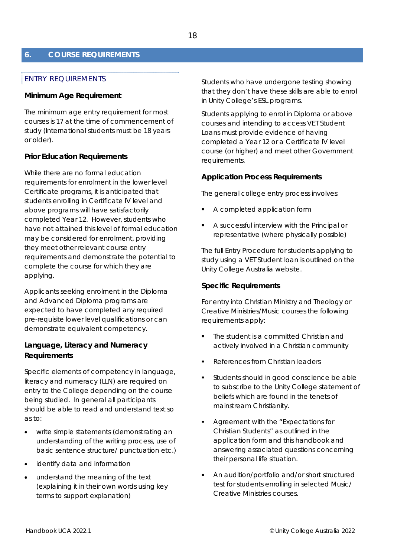#### **6. COURSE REQUIREMENTS**

#### ENTRY REQUIREMENTS

#### **Minimum Age Requirement**

The minimum age entry requirement for most courses is 17 at the time of commencement of study (International students must be 18 years or older).

#### **Prior Education Requirements**

While there are no formal education requirements for enrolment in the lower level Certificate programs, it is anticipated that students enrolling in Certificate IV level and above programs will have satisfactorily completed Year 12. However, students who have not attained this level of formal education may be considered for enrolment, providing they meet other relevant course entry requirements and demonstrate the potential to complete the course for which they are applying.

Applicants seeking enrolment in the Diploma and Advanced Diploma programs are expected to have completed any required pre-requisite lower level qualifications or can demonstrate equivalent competency.

#### **Language, Literacy and Numeracy Requirements**

Specific elements of competency in language, literacy and numeracy (LLN) are required on entry to the College depending on the course being studied. In general all participants should be able to read and understand text so as to:

- write simple statements (demonstrating an understanding of the writing process, use of basic sentence structure/ punctuation etc.)
- identify data and information
- understand the meaning of the text (explaining it in their own words using key terms to support explanation)

Students who have undergone testing showing that they don't have these skills are able to enrol in Unity College's ESL programs.

Students applying to enrol in Diploma or above courses and intending to access VET Student Loans must provide evidence of having completed a Year 12 or a Certificate IV level course (or higher) and meet other Government requirements.

#### **Application Process Requirements**

The general college entry process involves:

- A completed application form
- A successful interview with the Principal or representative (where physically possible)

The full Entry Procedure for students applying to study using a VET Student loan is outlined on the Unity College Australia website.

#### **Specific Requirements**

For entry into Christian Ministry and Theology or Creative Ministries/Music courses the following requirements apply:

- The student is a committed Christian and actively involved in a Christian community
- References from Christian leaders
- Students should in good conscience be able to subscribe to the Unity College statement of beliefs which are found in the tenets of mainstream Christianity.
- Agreement with the "Expectations for Christian Students" as outlined in the application form and this handbook and answering associated questions concerning their personal life situation.
- An audition/portfolio and/or short structured test for students enrolling in selected Music/ Creative Ministries courses.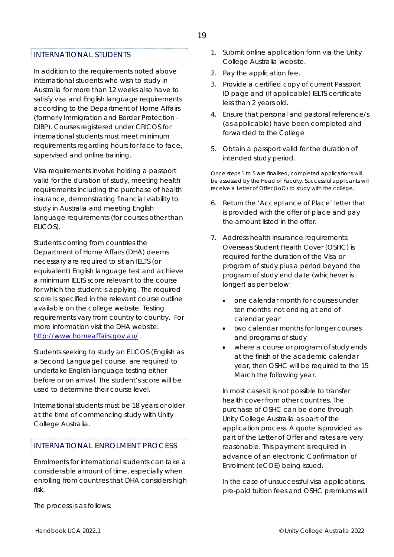#### INTERNATIONAL STUDENTS

In addition to the requirements noted above international students who wish to study in Australia for more than 12 weeks also have to satisfy visa and English language requirements according to the Department of Home Affairs (formerly Immigration and Border Protection - DIBP). Courses registered under CRICOS for international students must meet minimum requirements regarding hours for face to face, supervised and online training.

Visa requirements involve holding a passport valid for the duration of study, meeting health requirements including the purchase of health insurance, demonstrating financial viability to study in Australia and meeting English language requirements (for courses other than ELICOS).

Students coming from countries the Department of Home Affairs (DHA) deems necessary are required to sit an IELTS (or equivalent) English language test and achieve a minimum IELTS score relevant to the course for which the student is applying. The required score is specified in the relevant course outline available on the college website. Testing requirements vary from country to country. For more information visit the DHA website: http://www.homeaffairs.gov.au/.

Students seeking to study an ELICOS (English as a Second Language) course, are required to undertake English language testing either before or on arrival. The student's score will be used to determine their course level.

International students must be 18 years or older at the time of commencing study with Unity College Australia.

#### INTERNATIONAL ENROLMENT PROCESS

Enrolments for international students can take a considerable amount of time, especially when enrolling from countries that DHA considers high risk.

The process is as follows:

- 1. Submit online application form via the Unity College Australia website.
- 2. Pay the application fee.
- 3. Provide a certified copy of current Passport ID page and (if applicable) IELTS certificate less than 2 years old.
- 4. Ensure that personal and pastoral reference/s (as applicable) have been completed and forwarded to the College
- 5. Obtain a passport valid for the duration of intended study period.

*Once steps 1 to 5 are finalised, completed applications will be assessed by the Head of Faculty. Successful applicants will receive a Letter of Offer (LoO) to study with the college.* 

- 6. Return the 'Acceptance of Place' letter that is provided with the offer of place and pay the amount listed in the offer.
- 7. Address health insurance requirements: Overseas Student Health Cover (OSHC) is required for the duration of the Visa or program of study plus a period beyond the program of study end date (whichever is longer) as per below:
	- one calendar month for courses under ten months not ending at end of calendar year
	- two calendar months for longer courses and programs of study
	- where a course or program of study ends at the finish of the academic calendar year, then OSHC will be required to the 15 March the following year.

In most cases it is not possible to transfer health cover from other countries. The purchase of OSHC can be done through Unity College Australia as part of the application process. A quote is provided as part of the Letter of Offer and rates are very reasonable. This payment is required in advance of an electronic Confirmation of Enrolment (eCOE) being issued.

In the case of unsuccessful visa applications, pre-paid tuition fees and OSHC premiums will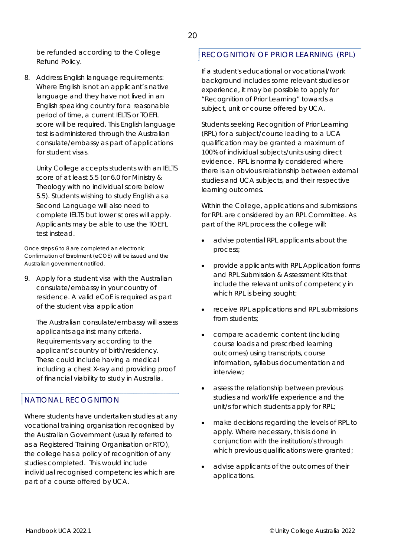be refunded according to the College Refund Policy.

8. Address English language requirements: Where English is not an applicant's native language and they have not lived in an English speaking country for a reasonable period of time, a current IELTS or TOEFL score will be required. This English language test is administered through the Australian consulate/embassy as part of applications for student visas.

Unity College accepts students with an IELTS score of at least 5.5 (or 6.0 for Ministry & Theology with no individual score below 5.5). Students wishing to study English as a Second Language will also need to complete IELTS but lower scores will apply. Applicants may be able to use the TOEFL test instead.

*Once steps 6 to 8 are completed an electronic Confirmation of Enrolment (eCOE) will be issued and the Australian government notified.* 

9. Apply for a student visa with the Australian consulate/embassy in your country of residence. A valid eCoE is required as part of the student visa application

The Australian consulate/embassy will assess applicants against many criteria. Requirements vary according to the applicant's country of birth/residency. These could include having a medical including a chest X-ray and providing proof of financial viability to study in Australia.

#### NATIONAL RECOGNITION

Where students have undertaken studies at any vocational training organisation recognised by the Australian Government (usually referred to as a Registered Training Organisation or RTO), the college has a policy of recognition of any studies completed. This would include individual recognised competencies which are part of a course offered by UCA.

#### RECOGNITION OF PRIOR LEARNING (RPL)

If a student's educational or vocational/work background includes some relevant studies or experience, it may be possible to apply for "Recognition of Prior Learning" towards a subject, unit or course offered by UCA.

Students seeking Recognition of Prior Learning (RPL) for a subject/course leading to a UCA qualification may be granted a maximum of 100% of individual subjects/units using direct evidence. RPL is normally considered where there is an obvious relationship between external studies and UCA subjects, and their respective learning outcomes.

Within the College, applications and submissions for RPL are considered by an RPL Committee. As part of the RPL process the college will:

- advise potential RPL applicants about the process;
- provide applicants with RPL Application forms and RPL Submission & Assessment Kits that include the relevant units of competency in which RPL is being sought;
- receive RPL applications and RPL submissions from students;
- compare academic content (including course loads and prescribed learning outcomes) using transcripts, course information, syllabus documentation and interview;
- assess the relationship between previous studies and work/life experience and the unit/s for which students apply for RPL;
- make decisions regarding the levels of RPL to apply. Where necessary, this is done in conjunction with the institution/s through which previous qualifications were granted;
- advise applicants of the outcomes of their applications.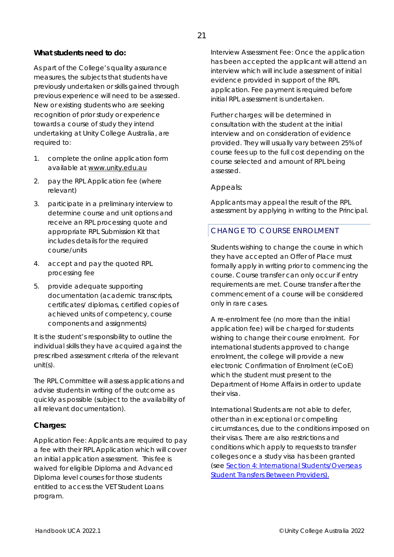#### **What students need to do:**

As part of the College's quality assurance measures, the subjects that students have previously undertaken or skills gained through previous experience will need to be assessed. New or existing students who are seeking recognition of prior study or experience towards a course of study they intend undertaking at Unity College Australia, are required to:

- 1. complete the online application form available at *www.unity.edu.au*
- 2. pay the RPL Application fee (where relevant)
- 3. participate in a preliminary interview to determine course and unit options and receive an RPL processing quote and appropriate RPL Submission Kit that includes details for the required course/units
- 4. accept and pay the quoted RPL processing fee
- 5. provide adequate supporting documentation (academic transcripts, certificates/ diplomas, certified copies of achieved units of competency, course components and assignments)

It is the student's responsibility to outline the individual skills they have acquired against the prescribed assessment criteria of the relevant unit(s).

The RPL Committee will assess applications and advise students in writing of the outcome as quickly as possible (subject to the availability of all relevant documentation).

#### **Charges:**

Application Fee: Applicants are required to pay a fee with their RPL Application which will cover an initial application assessment. This fee is waived for eligible Diploma and Advanced Diploma level courses for those students entitled to access the VET Student Loans program.

Interview Assessment Fee: Once the application has been accepted the applicant will attend an interview which will include assessment of initial evidence provided in support of the RPL application. Fee payment is required before initial RPL assessment is undertaken.

Further charges: will be determined in consultation with the student at the initial interview and on consideration of evidence provided. They will usually vary between 25% of course fees up to the full cost depending on the course selected and amount of RPL being assessed.

#### Appeals:

Applicants may appeal the result of the RPL assessment by applying in writing to the Principal.

#### CHANGE TO COURSE ENROLMENT

Students wishing to change the course in which they have accepted an Offer of Place must formally apply in writing prior to commencing the course. Course transfer can only occur if entry requirements are met. Course transfer after the commencement of a course will be considered only in rare cases.

A re-enrolment fee (no more than the initial application fee) will be charged for students wishing to change their course enrolment. For international students approved to change enrolment, the college will provide a new electronic Confirmation of Enrolment (eCoE) which the student must present to the Department of Home Affairs in order to update their visa.

International Students are not able to defer, other than in exceptional or compelling circumstances, due to the conditions imposed on their visas. There are also restrictions and conditions which apply to requests to transfer colleges once a study visa has been granted (see Section 4: International Students/Overseas Student Transfers Between Providers).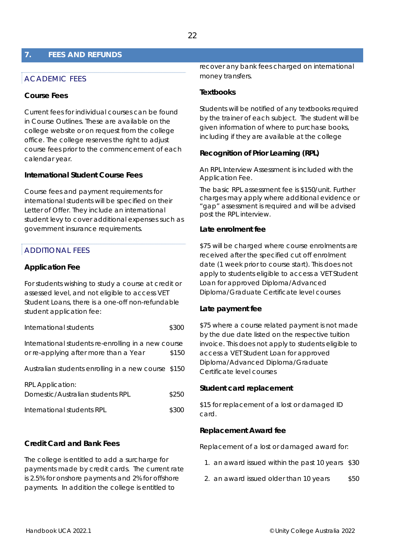#### **7. FEES AND REFUNDS**

#### ACADEMIC FEES

#### **Course Fees**

Current fees for individual courses can be found in Course Outlines. These are available on the college website or on request from the college office. The college reserves the right to adjust course fees prior to the commencement of each calendar year.

#### **International Student Course Fees**

Course fees and payment requirements for international students will be specified on their Letter of Offer. They include an international student levy to cover additional expenses such as government insurance requirements.

#### ADDITIONAL FEES

#### **Application Fee**

For students wishing to study a course at credit or assessed level, and not eligible to access VET Student Loans, there is a one-off non-refundable student application fee:

International students **\$300** 

International students re-enrolling in a new course or re-applying after more than a Year \$150

Australian students enrolling in a new course \$150

| <b>RPL Application:</b>          |       |
|----------------------------------|-------|
| Domestic/Australian students RPL | \$250 |
| International students RPL       | \$300 |

#### **Credit Card and Bank Fees**

The college is entitled to add a surcharge for payments made by credit cards. The current rate is 2.5% for onshore payments and 2% for offshore payments. In addition the college is entitled to

recover any bank fees charged on international money transfers.

#### **Textbooks**

Students will be notified of any textbooks required by the trainer of each subject. The student will be given information of where to purchase books, including if they are available at the college

#### **Recognition of Prior Learning (RPL)**

An RPL Interview Assessment is included with the Application Fee.

The basic RPL assessment fee is \$150/unit. Further charges may apply where additional evidence or "gap" assessment is required and will be advised post the RPL interview.

#### **Late enrolment fee**

\$75 will be charged where course enrolments are received after the specified cut off enrolment date (1 week prior to course start). This does not apply to students eligible to access a VET Student Loan for approved Diploma/Advanced Diploma/Graduate Certificate level courses

#### **Late payment fee**

\$75 where a course related payment is not made by the due date listed on the respective tuition invoice. This does not apply to students eligible to access a VET Student Loan for approved Diploma/Advanced Diploma/Graduate Certificate level courses

#### **Student card replacement**

\$15 for replacement of a lost or damaged ID card.

#### **Replacement Award fee**

Replacement of a lost or damaged award for:

- 1. an award issued within the past 10 years \$30
- 2. an award issued older than 10 years \$50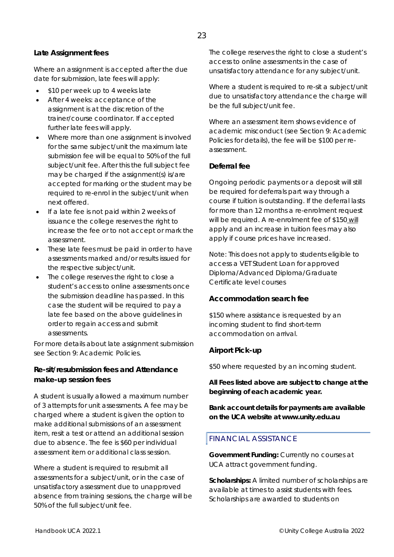#### **Late Assignment fees**

Where an assignment is accepted after the due date for submission, late fees will apply:

- \$10 per week up to 4 weeks late
- After 4 weeks: acceptance of the assignment is at the discretion of the trainer/course coordinator. If accepted further late fees will apply.
- Where more than one assignment is involved for the same subject/unit the maximum late submission fee will be equal to 50% of the full subject/unit fee. After this the full subject fee may be charged if the assignment(s) is/are accepted for marking or the student may be required to re-enrol in the subject/unit when next offered.
- If a late fee is not paid within 2 weeks of issuance the college reserves the right to increase the fee or to not accept or mark the assessment.
- These late fees must be paid in order to have assessments marked and/or results issued for the respective subject/unit.
- The college reserves the right to close a student's access to online assessments once the submission deadline has passed. In this case the student will be required to pay a late fee based on the above guidelines in order to regain access and submit assessments.

For more details about late assignment submission see Section 9: Academic Policies.

#### **Re-sit/resubmission fees and Attendance make-up session fees**

A student is usually allowed a maximum number of 3 attempts for unit assessments. A fee may be charged where a student is given the option to make additional submissions of an assessment item, resit a test or attend an additional session due to absence. The fee is \$60 per individual assessment item or additional class session.

Where a student is required to resubmit all assessments for a subject/unit, or in the case of unsatisfactory assessment due to unapproved absence from training sessions, the charge will be 50% of the full subject/unit fee.

The college reserves the right to close a student's access to online assessments in the case of unsatisfactory attendance for any subject/unit.

Where a student is required to re-sit a subject/unit due to unsatisfactory attendance the charge will be the full subject/unit fee.

Where an assessment item shows evidence of academic misconduct (see Section 9: Academic Policies for details), the fee will be \$100 per reassessment.

#### **Deferral fee**

Ongoing periodic payments or a deposit will still be required for deferrals part way through a course if tuition is outstanding. If the deferral lasts for more than 12 months a re-enrolment request will be required. A re-enrolment fee of \$150 will apply and an increase in tuition fees may also apply if course prices have increased.

Note: This does not apply to students eligible to access a VET Student Loan for approved Diploma/Advanced Diploma/Graduate Certificate level courses

#### **Accommodation search fee**

\$150 where assistance is requested by an incoming student to find short-term accommodation on arrival.

#### **Airport Pick-up**

\$50 where requested by an incoming student.

#### *All Fees listed above are subject to change at the beginning of each academic year.*

#### *Bank account details for payments are available on the UCA website at www.unity.edu.au*

#### FINANCIAL ASSISTANCE

**Government Funding:** Currently no courses at UCA attract government funding.

**Scholarships:** A limited number of scholarships are available at times to assist students with fees. Scholarships are awarded to students on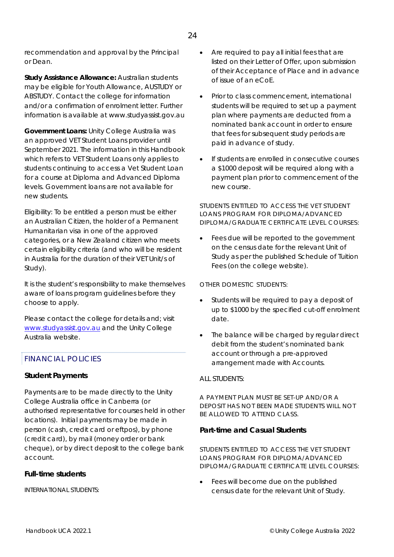recommendation and approval by the Principal or Dean.

**Study Assistance Allowance:** Australian students may be eligible for Youth Allowance, AUSTUDY or ABSTUDY. Contact the college for information and/or a confirmation of enrolment letter. Further information is available at www.studyassist.gov.au

**Government Loans:** Unity College Australia was an approved VET Student Loans provider until September 2021. The information in this Handbook which refers to VET Student Loans only applies to students continuing to access a Vet Student Loan for a course at Diploma and Advanced Diploma levels. Government loans are not available for new students.

Eligibility: To be entitled a person must be either an Australian Citizen, the holder of a Permanent Humanitarian visa in one of the approved categories, or a New Zealand citizen who meets certain eligibility criteria (and who will be resident in Australia for the duration of their VET Unit/s of Study).

It is the student's responsibility to make themselves aware of loans program guidelines before they choose to apply.

Please contact the college for details and; visit *www.studyassist.gov.au* and the Unity College Australia website.

#### FINANCIAL POLICIES

#### **Student Payments**

Payments are to be made directly to the Unity College Australia office in Canberra (or authorised representative for courses held in other locations). Initial payments may be made in person (cash, credit card or eftpos), by phone (credit card), by mail (money order or bank cheque), or by direct deposit to the college bank account.

#### **Full-time students**

*INTERNATIONAL STUDENTS:* 

- Are required to pay all initial fees that are listed on their Letter of Offer, upon submission of their Acceptance of Place and in advance of issue of an eCoE.
- Prior to class commencement, international students will be required to set up a payment plan where payments are deducted from a nominated bank account in order to ensure that fees for subsequent study periods are paid in advance of study.
- If students are enrolled in consecutive courses a \$1000 deposit will be required along with a payment plan prior to commencement of the new course.

#### *STUDENTS ENTITLED TO ACCESS THE VET STUDENT LOANS PROGRAM FOR DIPLOMA/ADVANCED DIPLOMA/GRADUATE CERTIFICATE LEVEL COURSES:*

 Fees due will be reported to the government on the census date for the relevant Unit of Study as per the published Schedule of Tuition Fees (on the college website).

#### *OTHER DOMESTIC STUDENTS:*

- Students will be required to pay a deposit of up to \$1000 by the specified cut-off enrolment date.
- The balance will be charged by regular direct debit from the student's nominated bank account or through a pre-approved arrangement made with Accounts.

#### *ALL STUDENTS:*

*A PAYMENT PLAN MUST BE SET-UP AND/OR A DEPOSIT HAS NOT BEEN MADE STUDENTS WILL NOT BE ALLOWED TO ATTEND CLASS.* 

#### **Part-time and Casual Students**

*STUDENTS ENTITLED TO ACCESS THE VET STUDENT LOANS PROGRAM FOR DIPLOMA/ADVANCED DIPLOMA/GRADUATE CERTIFICATE LEVEL COURSES:* 

 Fees will become due on the published census date for the relevant Unit of Study.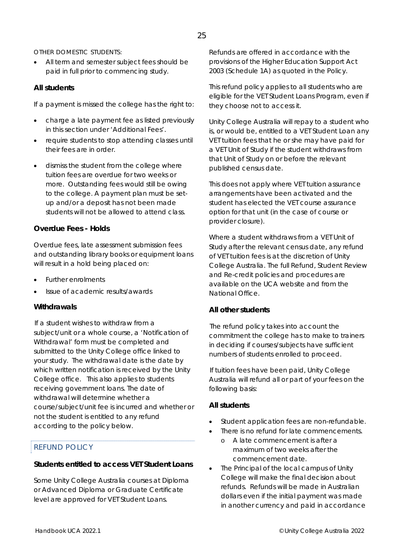#### 25

#### *OTHER DOMESTIC STUDENTS:*

• All term and semester subject fees should be paid in full prior to commencing study.

#### **All students**

If a payment is missed the college has the right to:

- charge a late payment fee as listed previously in this section under 'Additional Fees'.
- require students to stop attending classes until their fees are in order.
- dismiss the student from the college where tuition fees are overdue for two weeks or more. Outstanding fees would still be owing to the college. A payment plan must be setup and/or a deposit has not been made students will not be allowed to attend class.

#### **Overdue Fees - Holds**

Overdue fees, late assessment submission fees and outstanding library books or equipment loans will result in a hold being placed on:

- Further enrolments
- Issue of academic results/awards

#### **Withdrawals**

If a student wishes to withdraw from a subject/unit or a whole course, a 'Notification of Withdrawal' form must be completed and submitted to the Unity College office linked to your study. The withdrawal date is the date by which written notification is received by the Unity College office. This also applies to students receiving government loans. The date of withdrawal will determine whether a course/subject/unit fee is incurred and whether or not the student is entitled to any refund according to the policy below.

#### REFUND POLICY

#### **Students entitled to access VET Student Loans**

Some Unity College Australia courses at Diploma or Advanced Diploma or Graduate Certificate level are approved for VET Student Loans.

*Refunds are offered in accordance with the provisions of the Higher Education Support Act 2003 (Schedule 1A) as quoted in the Policy.* 

This refund policy applies to all students who are eligible for the VET Student Loans Program, even if they choose not to access it.

Unity College Australia will repay to a student who is, or would be, entitled to a VET Student Loan any VET tuition fees that he or she may have paid for a VET Unit of Study if the student withdraws from that Unit of Study on or before the relevant published census date.

This does not apply where VET tuition assurance arrangements have been activated and the student has elected the VET course assurance option for that unit (in the case of course or provider closure).

Where a student withdraws from a VET Unit of Study after the relevant census date, any refund of VET tuition fees is at the discretion of Unity College Australia. The full Refund, Student Review and Re-credit policies and procedures are available on the UCA website and from the National Office.

#### **All other students**

The refund policy takes into account the commitment the college has to make to trainers in deciding if courses/subjects have sufficient numbers of students enrolled to proceed.

If tuition fees have been paid, Unity College Australia will refund all or part of your fees on the following basis:

#### **All students**

- Student application fees are non-refundable.
- There is no refund for late commencements.
	- o A late commencement is after a maximum of two weeks after the commencement date.
- The Principal of the local campus of Unity College will make the final decision about refunds. Refunds will be made in Australian dollars even if the initial payment was made in another currency and paid in accordance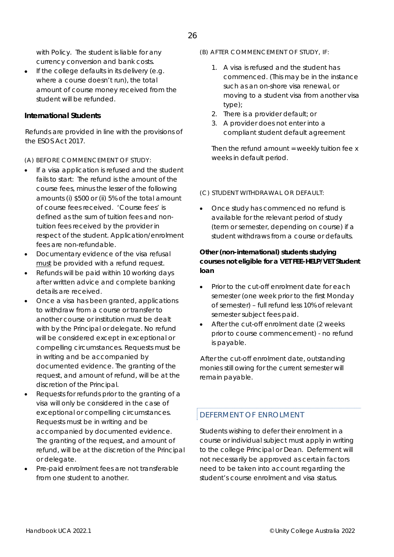with Policy. The student is liable for any currency conversion and bank costs.

 $\bullet$  If the college defaults in its delivery (e.g. where a course doesn't run), the total amount of course money received from the student will be refunded.

#### **International Students**

Refunds are provided in line with the provisions of the ESOS Act 2017.

#### *(A) BEFORE COMMENCEMENT OF STUDY:*

- If a visa application is refused and the student fails to start: The refund is the amount of the course fees, minus the lesser of the following amounts (i) \$500 or (ii) 5% of the total amount of course fees received. 'Course fees' is defined as the sum of tuition fees and nontuition fees received by the provider in respect of the student. Application/enrolment fees are non-refundable.
- Documentary evidence of the visa refusal must be provided with a refund request.
- Refunds will be paid within 10 working days after written advice and complete banking details are received.
- Once a visa has been granted, applications to withdraw from a course or transfer to another course or institution must be dealt with by the Principal or delegate. No refund will be considered except in exceptional or compelling circumstances. Requests must be in writing and be accompanied by documented evidence. The granting of the request, and amount of refund, will be at the discretion of the Principal.
- Requests for refunds prior to the granting of a visa will only be considered in the case of exceptional or compelling circumstances. Requests must be in writing and be accompanied by documented evidence. The granting of the request, and amount of refund, will be at the discretion of the Principal or delegate.
- Pre-paid enrolment fees are not transferable from one student to another.

#### *(B) AFTER COMMENCEMENT OF STUDY, IF:*

- 1. A visa is refused and the student has commenced. (This may be in the instance such as an on-shore visa renewal, or moving to a student visa from another visa type);
- 2. There is a provider default; or
- 3. A provider does not enter into a compliant student default agreement

Then the refund amount  $=$  weekly tuition fee x weeks in default period.

#### *(C) STUDENT WITHDRAWAL OR DEFAULT:*

 Once study has commenced no refund is available for the relevant period of study (term or semester, depending on course) if a student withdraws from a course or defaults.

#### **Other (non-international) students studying courses not eligible for a VET FEE-HELP/VET Student loan**

- Prior to the cut-off enrolment date for each semester (one week prior to the first Monday of semester) – full refund less 10% of relevant semester subject fees paid.
- After the cut-off enrolment date (2 weeks prior to course commencement) - no refund is payable.

After the cut-off enrolment date, outstanding monies still owing for the current semester will remain payable.

#### DEFERMENT OF ENROLMENT

Students wishing to defer their enrolment in a course or individual subject must apply in writing to the college Principal or Dean. Deferment will not necessarily be approved as certain factors need to be taken into account regarding the student's course enrolment and visa status.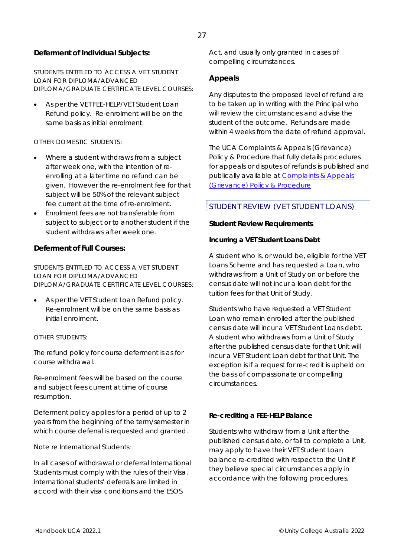#### **Deferment of Individual Subjects:**

*STUDENTS ENTITLED TO ACCESS A VET STUDENT LOAN FOR DIPLOMA/ADVANCED DIPLOMA/GRADUATE CERTIFICATE LEVEL COURSES:* 

 As per the VET FEE-HELP/VET Student Loan Refund policy. Re-enrolment will be on the same basis as initial enrolment.

#### *OTHER DOMESTIC STUDENTS:*

- Where a student withdraws from a subject after week one, with the intention of reenrolling at a later time no refund can be given. However the re-enrolment fee for that subject will be 50% of the relevant subject fee current at the time of re-enrolment.
- Enrolment fees are not transferable from subject to subject or to another student if the student withdraws after week one.

#### **Deferment of Full Courses:**

*STUDENTS ENTITLED TO ACCESS A VET STUDENT LOAN FOR DIPLOMA/ADVANCED DIPLOMA/GRADUATE CERTIFICATE LEVEL COURSES:* 

 As per the VET Student Loan Refund policy. Re-enrolment will be on the same basis as initial enrolment.

#### *OTHER STUDENTS:*

The refund policy for course deferment is as for course withdrawal.

Re-enrolment fees will be based on the course and subject fees current at time of course resumption.

Deferment policy applies for a period of up to 2 years from the beginning of the term/semester in which course deferral is requested and granted.

#### *Note re International Students:*

In all cases of withdrawal or deferral International Students must comply with the rules of their Visa. International students' deferrals are limited in accord with their visa conditions and the ESOS

Act, and usually only granted in cases of compelling circumstances.

#### **Appeals**

Any disputes to the proposed level of refund are to be taken up in writing with the Principal who will review the circumstances and advise the student of the outcome. Refunds are made within 4 weeks from the date of refund approval.

The UCA *Complaints & Appeals (Grievance) Policy & Procedure* that fully details procedures for appeals or disputes of refunds is published and publically available at *Complaints & Appeals (Grievance) Policy & Procedure*

#### STUDENT REVIEW (VET STUDENT LOANS)

#### **Student Review Requirements**

#### **Incurring a VET Student Loans Debt**

A student who is, or would be, eligible for the VET Loans Scheme and has requested a Loan, who withdraws from a Unit of Study on or before the census date will not incur a loan debt for the tuition fees for that Unit of Study.

Students who have requested a VET Student Loan who remain enrolled after the published census date will incur a VET Student Loans debt. A student who withdraws from a Unit of Study after the published census date for that Unit will incur a VET Student Loan debt for that Unit. The exception is if a request for re-credit is upheld on the basis of compassionate or compelling circumstances.

#### **Re-crediting a FEE-HELP Balance**

Students who withdraw from a Unit after the published census date, or fail to complete a Unit, may apply to have their VET Student Loan balance re-credited with respect to the Unit if they believe special circumstances apply in accordance with the following procedures.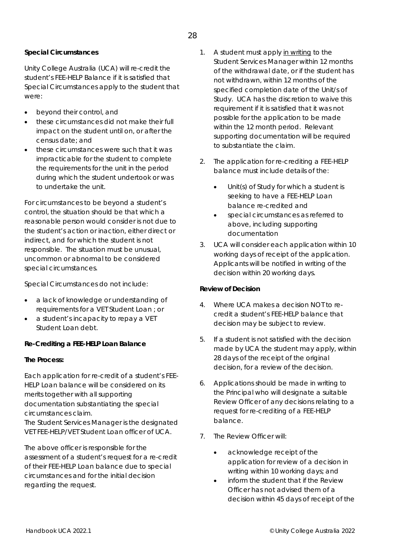#### **Special Circumstances**

Unity College Australia (UCA) will re-credit the student's FEE-HELP Balance if it is satisfied that Special Circumstances apply to the student that were:

- beyond their control, and
- these circumstances did not make their full impact on the student until on, or after the census date; and
- these circumstances were such that it was impracticable for the student to complete the requirements for the unit in the period during which the student undertook or was to undertake the unit.

For circumstances to be beyond a student's control, the situation should be that which a reasonable person would consider is not due to the student's action or inaction, either direct or indirect, and for which the student is not responsible. The situation must be unusual, uncommon or abnormal to be considered special circumstances.

#### *Special Circumstances do not include:*

- a lack of knowledge or understanding of requirements for a VET Student Loan ; or
- a student's incapacity to repay a VET Student Loan debt.

#### **Re-Crediting a FEE-HELP Loan Balance**

#### **The Process:**

Each application for re-credit of a student's FEE-HELP Loan balance will be considered on its merits together with all supporting documentation substantiating the special circumstances claim.

The *Student Services Manager* is the designated VET FEE-HELP/VET Student Loan officer of UCA.

The above officer is responsible for the assessment of a student's request for a re-credit of their FEE-HELP Loan balance due to special circumstances and for the initial decision regarding the request.

- 1. A student must apply in writing to the Student Services Manager within 12 months of the withdrawal date, or if the student has not withdrawn, within 12 months of the specified completion date of the Unit/s of Study. UCA has the discretion to waive this requirement if it is satisfied that it was not possible for the application to be made within the 12 month period. Relevant supporting documentation will be required to substantiate the claim.
- 2. The application for re-crediting a FEE-HELP balance must include details of the:
	- Unit(s) of Study for which a student is seeking to have a FEE-HELP Loan balance re-credited and
	- special circumstances as referred to above, including supporting documentation
- 3. UCA will consider each application within 10 working days of receipt of the application. Applicants will be notified in writing of the decision within 20 working days.

#### **Review of Decision**

- 4. Where UCA makes a decision NOT to recredit a student's FEE-HELP balance that decision may be subject to review.
- 5. If a student is not satisfied with the decision made by UCA the student may apply, within 28 days of the receipt of the original decision, for a review of the decision.
- 6. Applications should be made in writing to the Principal who will designate a suitable Review Officer of any decisions relating to a request for re-crediting of a FEE-HELP balance.
- 7. The Review Officer will:
	- acknowledge receipt of the application for review of a decision in writing within 10 working days; and
	- inform the student that if the Review Officer has not advised them of a decision within 45 days of receipt of the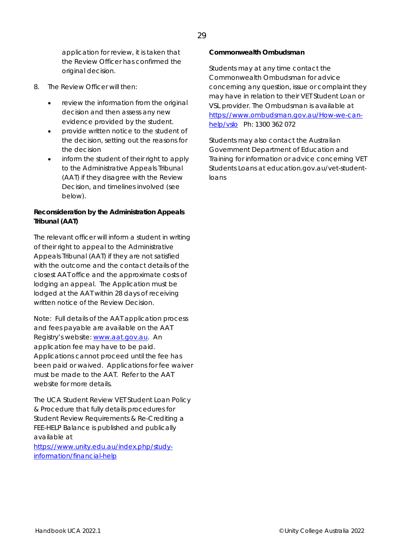application for review, it is taken that the Review Officer has confirmed the original decision.

- 8. The Review Officer will then:
	- review the information from the original decision and then assess any new evidence provided by the student.
	- provide written notice to the student of the decision, setting out the reasons for the decision
	- inform the student of their right to apply to the Administrative Appeals Tribunal (AAT) if they disagree with the Review Decision, and timelines involved (see below).

#### **Reconsideration by the Administration Appeals Tribunal (AAT)**

The relevant officer will inform a student in writing of their right to appeal to the Administrative Appeals Tribunal (AAT) if they are not satisfied with the outcome and the contact details of the closest AAT office and the approximate costs of lodging an appeal. The Application must be lodged at the AAT within 28 days of receiving written notice of the Review Decision.

*Note: Full details of the AAT application process and fees payable are available on the AAT Registry's website: www.aat.gov.au. An application fee may have to be paid. Applications cannot proceed until the fee has been paid or waived. Applications for fee waiver must be made to the AAT. Refer to the AAT website for more details.*

The UCA *Student Review* VET Student Loan *Policy & Procedure* that fully details procedures for Student Review Requirements & Re-Crediting a FEE-HELP Balance is published and publically available at

*https://www.unity.edu.au/index.php/studyinformation/financial-help*

#### **Commonwealth Ombudsman**

Students may at any time contact the Commonwealth Ombudsman for advice concerning any question, issue or complaint they may have in relation to their VET Student Loan or VSL provider. The Ombudsman is available at *https://www.ombudsman.gov.au/How-we-canhelp/vslo* Ph: 1300 362 072

Students may also contact the Australian Government Department of Education and Training for information or advice concerning VET Students Loans at education.gov.au/vet-studentloans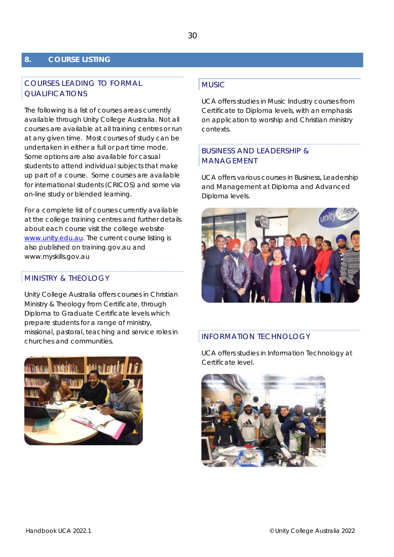#### **8. COURSE LISTING**

#### COURSES LEADING TO FORMAL QUALIFICATIONS

The following is a list of courses areas currently available through Unity College Australia. Not all courses are available at all training centres or run at any given time. Most courses of study can be undertaken in either a full or part time mode. Some options are also available for casual students to attend individual subjects that make up part of a course. Some courses are available for international students (CRICOS) and some via on-line study or blended learning.

For a complete list of courses currently available at the college training centres and further details about each course visit the college website www.unity.edu.au. The current course listing is also published on training.gov.au and www.myskills.gov.au

#### MINISTRY & THEOLOGY

Unity College Australia offers courses in Christian Ministry & Theology from Certificate, through Diploma to Graduate Certificate levels which prepare students for a range of ministry, missional, pastoral, teaching and service roles in churches and communities.



#### MUSIC

UCA offers studies in Music Industry courses from Certificate to Diploma levels, with an emphasis on application to worship and Christian ministry contexts.

#### BUSINESS AND LEADERSHIP & MANAGEMENT

UCA offers various courses in Business, Leadership and Management at Diploma and Advanced Diploma levels.



#### INFORMATION TECHNOLOGY

UCA offers studies in Information Technology at Certificate level.

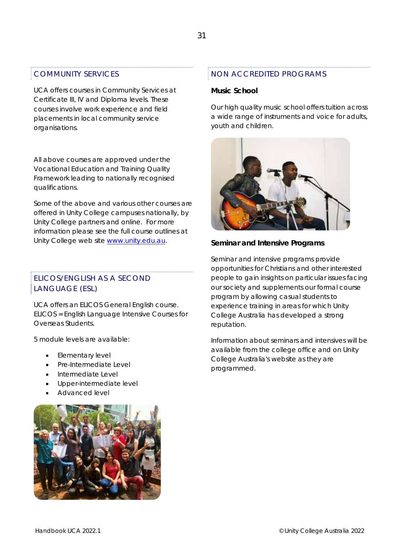#### COMMUNITY SERVICES

UCA offers courses in Community Services at Certificate III, IV and Diploma levels. These courses involve work experience and field placements in local community service organisations.

*All above courses are approved under the Vocational Education and Training Quality Framework leading to nationally recognised qualifications.* 

*Some of the above and various other courses are offered in Unity College campuses nationally, by Unity College partners and online. For more information please see the full course outlines at Unity College web site www.unity.edu.au.* 

#### ELICOS/ENGLISH AS A SECOND LANGUAGE (ESL)

UCA offers an ELICOS General English course. ELICOS = English Language Intensive Courses for Overseas Students.

5 module levels are available:

- Elementary level
- Pre-Intermediate Level
- Intermediate Level
- Upper-intermediate level
- Advanced level



#### NON ACCREDITED PROGRAMS

#### **Music School**

Our high quality music school offers tuition across a wide range of instruments and voice for adults, youth and children.



#### **Seminar and Intensive Programs**

Seminar and intensive programs provide opportunities for Christians and other interested people to gain insights on particular issues facing our society and supplements our formal course program by allowing casual students to experience training in areas for which Unity College Australia has developed a strong reputation.

Information about seminars and intensives will be available from the college office and on Unity College Australia's website as they are programmed.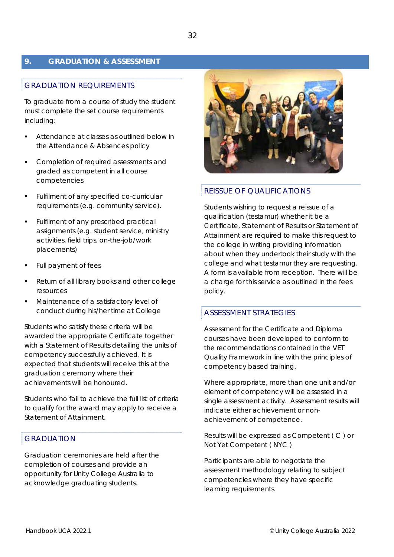#### **9. GRADUATION & ASSESSMENT**

#### GRADUATION REQUIREMENTS

To graduate from a course of study the student must complete the set course requirements including:

- Attendance at classes as outlined below in the Attendance & Absences policy
- Completion of required assessments and graded as competent in all course competencies.
- Fulfilment of any specified co-curricular requirements (e.g. community service).
- Fulfilment of any prescribed practical assignments (e.g. student service, ministry activities, field trips, on-the-job/work placements)
- Full payment of fees
- Return of all library books and other college resources
- Maintenance of a satisfactory level of conduct during his/her time at College

Students who satisfy these criteria will be awarded the appropriate Certificate together with a Statement of Results detailing the units of competency successfully achieved. It is expected that students will receive this at the graduation ceremony where their achievements will be honoured.

Students who fail to achieve the full list of criteria to qualify for the award may apply to receive a Statement of Attainment.

#### GRADUATION

Graduation ceremonies are held after the completion of courses and provide an opportunity for Unity College Australia to acknowledge graduating students.



#### REISSUE OF QUALIFICATIONS

Students wishing to request a reissue of a qualification (testamur) whether it be a Certificate, Statement of Results or Statement of Attainment are required to make this request to the college in writing providing information about when they undertook their study with the college and what testamur they are requesting. A form is available from reception. There will be a charge for this service as outlined in the fees policy.

#### ASSESSMENT STRATEGIES

Assessment for the Certificate and Diploma courses have been developed to conform to the recommendations contained in the VET Quality Framework in line with the principles of competency based training.

Where appropriate, more than one unit and/or element of competency will be assessed in a single assessment activity. Assessment results will indicate either achievement or nonachievement of competence.

Results will be expressed as Competent ( C ) or Not Yet Competent ( NYC )

Participants are able to negotiate the assessment methodology relating to subject competencies where they have specific learning requirements.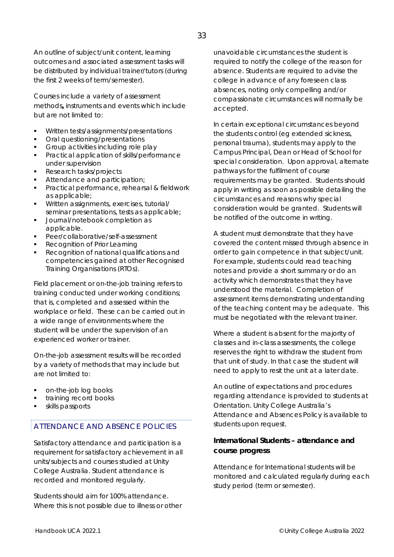An outline of subject/unit content, learning outcomes and associated assessment tasks will be distributed by individual trainer/tutors (during the first 2 weeks of term/semester).

Courses include a variety of assessment methods**,** instruments and events which include but are not limited to:

- Written tests/assignments/presentations
- Oral questioning/presentations
- Group activities including role play
- Practical application of skills/performance under supervision
- Research tasks/projects
- Attendance and participation;
- Practical performance, rehearsal & fieldwork as applicable;
- Written assignments, exercises, tutorial/ seminar presentations, tests as applicable;
- Journal/notebook completion as applicable.
- Peer/collaborative/self-assessment
- Recognition of Prior Learning
- Recognition of national qualifications and competencies gained at other Recognised Training Organisations (RTOs).

Field placement or on-the-job training refers to training conducted under working conditions; that is, completed and assessed within the workplace or field. These can be carried out in a wide range of environments where the student will be under the supervision of an experienced worker or trainer.

On-the-job assessment results will be recorded by a variety of methods that may include but are not limited to:

- on-the-job log books
- training record books
- skills passports

#### ATTENDANCE AND ABSENCE POLICIES

Satisfactory attendance and participation is a requirement for satisfactory achievement in all units/subjects and courses studied at Unity College Australia. Student attendance is recorded and monitored regularly.

Students should aim for 100% attendance. Where this is not possible due to illness or other

unavoidable circumstances the student is required to notify the college of the reason for absence. Students are required to advise the college in advance of any foreseen class absences, noting only compelling and/or compassionate circumstances will normally be accepted.

In certain exceptional circumstances beyond the students control (eg extended sickness, personal trauma), students may apply to the Campus Principal, Dean or Head of School for special consideration. Upon approval, alternate pathways for the fulfilment of course requirements may be granted. Students should apply in writing as soon as possible detailing the circumstances and reasons why special consideration would be granted. Students will be notified of the outcome in writing.

A student must demonstrate that they have covered the content missed through absence in order to gain competence in that subject/unit. For example, students could read teaching notes and provide a short summary or do an activity which demonstrates that they have understood the material. Completion of assessment items demonstrating understanding of the teaching content may be adequate. This must be negotiated with the relevant trainer.

Where a student is absent for the majority of classes and in-class assessments, the college reserves the right to withdraw the student from that unit of study. In that case the student will need to apply to resit the unit at a later date.

An outline of expectations and procedures regarding attendance is provided to students at Orientation. Unity College Australia's Attendance and Absences Policy is available to students upon request.

#### **International Students – attendance and course progress**

Attendance for International students will be monitored and calculated regularly during each study period (term or semester).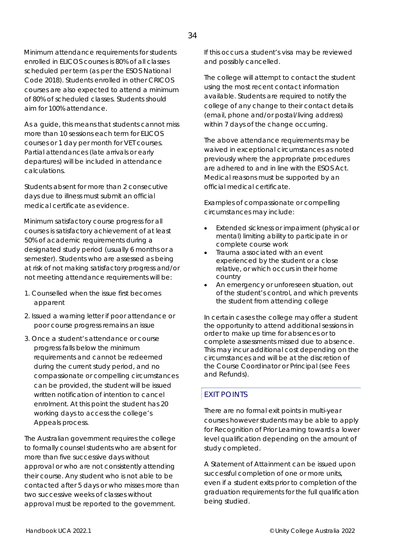Minimum attendance requirements for students enrolled in ELICOS courses is 80% of all classes scheduled per term (as per the ESOS National Code 2018). Students enrolled in other CRICOS courses are also expected to attend a minimum of 80% of scheduled classes. Students should aim for 100% attendance.

As a guide, this means that students cannot miss more than 10 sessions each term for ELICOS courses or 1 day per month for VET courses. Partial attendances (late arrivals or early departures) will be included in attendance calculations.

Students absent for more than 2 consecutive days due to illness must submit an official medical certificate as evidence.

Minimum satisfactory course progress for all courses is satisfactory achievement of at least 50% of academic requirements during a designated study period (usually 6 months or a semester). Students who are assessed as being at risk of not making satisfactory progress and/or not meeting attendance requirements will be:

- 1. Counselled when the issue first becomes apparent
- 2. Issued a warning letter if poor attendance or poor course progress remains an issue
- 3. Once a student's attendance or course progress falls below the minimum requirements and cannot be redeemed during the current study period, and no compassionate or compelling circumstances can be provided, the student will be issued written notification of intention to cancel enrolment. At this point the student has 20 working days to access the college's Appeals process.

The Australian government requires the college to formally counsel students who are absent for more than five successive days without approval or who are not consistently attending their course. Any student who is not able to be contacted after 5 days or who misses more than two successive weeks of classes without approval must be reported to the government.

If this occurs a student's visa may be reviewed and possibly cancelled.

The college will attempt to contact the student using the most recent contact information available. Students are required to notify the college of any change to their contact details (email, phone and/or postal/living address) within 7 days of the change occurring.

The above attendance requirements may be waived in exceptional circumstances as noted previously where the appropriate procedures are adhered to and in line with the ESOS Act. Medical reasons must be supported by an official medical certificate.

Examples of compassionate or compelling circumstances may include:

- Extended sickness or impairment (physical or mental) limiting ability to participate in or complete course work
- Trauma associated with an event experienced by the student or a close relative, or which occurs in their home country
- An emergency or unforeseen situation, out of the student's control, and which prevents the student from attending college

In certain cases the college may offer a student the opportunity to attend additional sessions in order to make up time for absences or to complete assessments missed due to absence. This may incur additional cost depending on the circumstances and will be at the discretion of the Course Coordinator or Principal (see Fees and Refunds).

#### EXIT POINTS

There are no formal exit points in multi-year courses however students may be able to apply for Recognition of Prior Learning towards a lower level qualification depending on the amount of study completed.

A Statement of Attainment can be issued upon successful completion of one or more units, even if a student exits prior to completion of the graduation requirements for the full qualification being studied.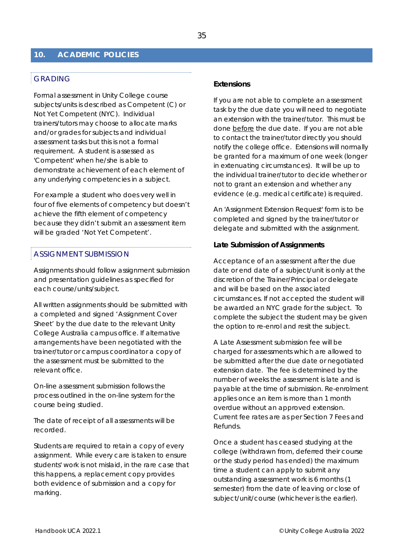#### **10. ACADEMIC POLICIES**

#### GRADING

Formal assessment in Unity College course subjects/units is described as Competent (C) or Not Yet Competent (NYC). Individual trainers/tutors may choose to allocate marks and/or grades for subjects and individual assessment tasks but this is not a formal requirement. A student is assessed as 'Competent' when he/she is able to demonstrate achievement of each element of any underlying competencies in a subject.

For example a student who does very well in four of five elements of competency but doesn't achieve the fifth element of competency because they didn't submit an assessment item will be graded 'Not Yet Competent'.

#### ASSIGNMENT SUBMISSION

Assignments should follow assignment submission and presentation guidelines as specified for each course/units/subject.

All written assignments should be submitted with a completed and signed 'Assignment Cover Sheet' by the due date to the relevant Unity College Australia campus office. If alternative arrangements have been negotiated with the trainer/tutor or campus coordinator a copy of the assessment must be submitted to the relevant office.

On-line assessment submission follows the process outlined in the on-line system for the course being studied.

The date of receipt of all assessments will be recorded.

Students are required to retain a copy of every assignment. While every care is taken to ensure students' work is not mislaid, in the rare case that this happens, a replacement copy provides both evidence of submission and a copy for marking.

#### **Extensions**

If you are not able to complete an assessment task by the due date you will need to negotiate an extension with the trainer/tutor. This must be done before the due date. If you are not able to contact the trainer/tutor directly you should notify the college office. Extensions will normally be granted for a maximum of one week (longer in extenuating circumstances). It will be up to the individual trainer/tutor to decide whether or not to grant an extension and whether any evidence (e.g. medical certificate) is required.

An 'Assignment Extension Request' form is to be completed and signed by the trainer/tutor or delegate and submitted with the assignment.

#### **Late Submission of Assignments**

Acceptance of an assessment after the due date or end date of a subject/unit is only at the discretion of the Trainer/Principal or delegate and will be based on the associated circumstances. If not accepted the student will be awarded an NYC grade for the subject. To complete the subject the student may be given the option to re-enrol and resit the subject.

A Late Assessment submission fee will be charged for assessments which are allowed to be submitted after the due date or negotiated extension date. The fee is determined by the number of weeks the assessment is late and is payable at the time of submission. Re-enrolment applies once an item is more than 1 month overdue without an approved extension. Current fee rates are as per Section 7 Fees and Refunds.

Once a student has ceased studying at the college (withdrawn from, deferred their course or the study period has ended) the maximum time a student can apply to submit any outstanding assessment work is 6 months (1 semester) from the date of leaving or close of subject/unit/course (whichever is the earlier).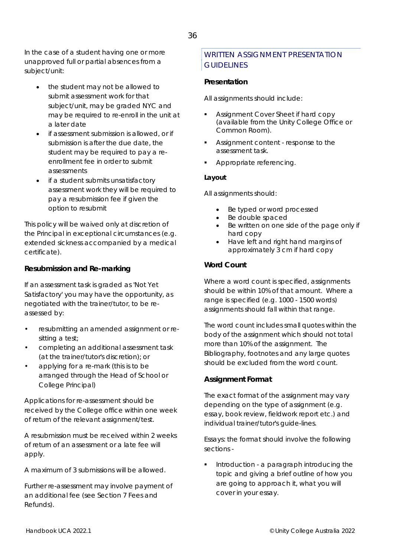In the case of a student having one or more unapproved full or partial absences from a subject/unit:

- the student may not be allowed to submit assessment work for that subject/unit, may be graded NYC and may be required to re-enroll in the unit at a later date
- if assessment submission is allowed, or if submission is after the due date, the student may be required to pay a reenrollment fee in order to submit assessments
- if a student submits unsatisfactory assessment work they will be required to pay a resubmission fee if given the option to resubmit

This policy will be waived only at discretion of the Principal in exceptional circumstances (e.g. extended sickness accompanied by a medical certificate).

#### **Resubmission and Re-marking**

If an assessment task is graded as 'Not Yet Satisfactory' you may have the opportunity, as negotiated with the trainer/tutor, to be reassessed by:

- resubmitting an amended assignment or resitting a test;
- completing an additional assessment task (at the trainer/tutor's discretion); or
- applying for a re-mark (this is to be arranged through the Head of School or College Principal)

Applications for re-assessment should be received by the College office within one week of return of the relevant assignment/test.

A resubmission must be received within 2 weeks of return of an assessment or a late fee will apply.

A maximum of 3 submissions will be allowed.

Further re-assessment may involve payment of an additional fee (see Section 7 Fees and Refunds).

#### WRITTEN ASSIGNMENT PRESENTATION **GUIDELINES**

#### **Presentation**

All assignments should include:

- Assignment Cover Sheet if hard copy (available from the Unity College Office or Common Room).
- Assignment content response to the assessment task.
- Appropriate referencing.

#### **Layout**

All assignments should:

- Be typed or word processed
- Be double spaced
- Be written on one side of the page only if hard copy
- Have left and right hand margins of approximately 3 cm if hard copy

#### **Word Count**

Where a word count is specified, assignments should be within 10% of that amount. Where a range is specified (e.g. 1000 - 1500 words) assignments should fall within that range.

The word count includes small quotes within the body of the assignment which should not total more than 10% of the assignment. The Bibliography, footnotes and any large quotes should be excluded from the word count.

#### **Assignment Format**

The exact format of the assignment may vary depending on the type of assignment (e.g. essay, book review, fieldwork report etc.) and individual trainer/tutor's guide-lines.

*Essays:* the format should involve the following sections -

 Introduction - a paragraph introducing the topic and giving a brief outline of how you are going to approach it, what you will cover in your essay.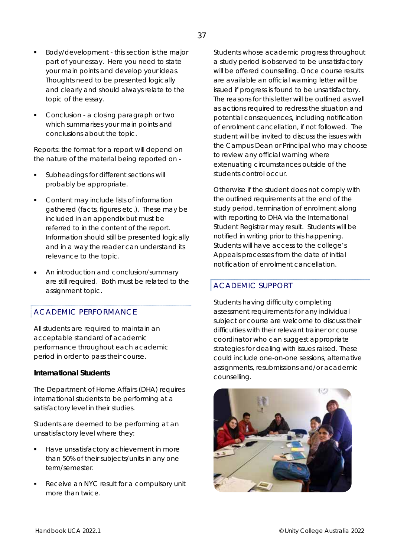- Body/development this section is the major part of your essay. Here you need to state your main points and develop your ideas. Thoughts need to be presented logically and clearly and should always relate to the topic of the essay.
- Conclusion a closing paragraph or two which summarises your main points and conclusions about the topic.

*Reports:* the format for a report will depend on the nature of the material being reported on -

- Subheadings for different sections will probably be appropriate.
- Content may include lists of information gathered (facts, figures etc.). These may be included in an appendix but must be referred to in the content of the report. Information should still be presented logically and in a way the reader can understand its relevance to the topic.
- An introduction and conclusion/summary are still required. Both must be related to the assignment topic.

#### ACADEMIC PERFORMANCE

All students are required to maintain an acceptable standard of academic performance throughout each academic period in order to pass their course.

#### **International Students**

The Department of Home Affairs (DHA) requires international students to be performing at a satisfactory level in their studies.

Students are deemed to be performing at an unsatisfactory level where they:

- Have unsatisfactory achievement in more than 50% of their subjects/units in any one term/semester.
- Receive an NYC result for a compulsory unit more than twice.

Students whose academic progress throughout a study period is observed to be unsatisfactory will be offered counselling. Once course results are available an official warning letter will be issued if progress is found to be unsatisfactory. The reasons for this letter will be outlined as well as actions required to redress the situation and potential consequences, including notification of enrolment cancellation, if not followed. The student will be invited to discuss the issues with the Campus Dean or Principal who may choose to review any official warning where extenuating circumstances outside of the students control occur.

Otherwise if the student does not comply with the outlined requirements at the end of the study period, termination of enrolment along with reporting to DHA via the International Student Registrar may result. Students will be notified in writing prior to this happening. Students will have access to the college's Appeals processes from the date of initial notification of enrolment cancellation.

#### ACADEMIC SUPPORT

Students having difficulty completing assessment requirements for any individual subject or course are welcome to discuss their difficulties with their relevant trainer or course coordinator who can suggest appropriate strategies for dealing with issues raised. These could include one-on-one sessions, alternative assignments, resubmissions and/or academic counselling.

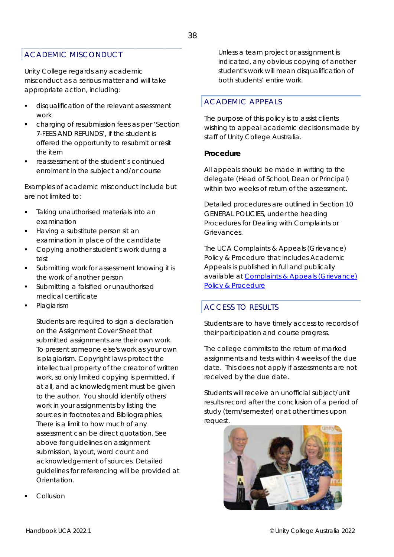#### ACADEMIC MISCONDUCT

Unity College regards any academic misconduct as a serious matter and will take appropriate action, including:

- disqualification of the relevant assessment work
- charging of resubmission fees as per 'Section 7-FEES AND REFUNDS', if the student is offered the opportunity to resubmit or resit the item
- reassessment of the student's continued enrolment in the subject and/or course

Examples of academic misconduct include but are not limited to:

- Taking unauthorised materials into an examination
- Having a substitute person sit an examination in place of the candidate
- Copying another student's work during a test
- Submitting work for assessment knowing it is the work of another person
- Submitting a falsified or unauthorised medical certificate
- Plagiarism

Students are required to sign a declaration on the Assignment Cover Sheet that submitted assignments are their own work. To present someone else's work as your own is plagiarism. Copyright laws protect the intellectual property of the creator of written work, so only limited copying is permitted, if at all, and acknowledgment must be given to the author. You should identify others' work in your assignments by listing the sources in footnotes and Bibliographies. There is a limit to how much of any assessment can be direct quotation. See above for guidelines on assignment submission, layout, word count and acknowledgement of sources. Detailed guidelines for referencing will be provided at Orientation.

Unless a team project or assignment is indicated, any obvious copying of another student's work will mean disqualification of both students' entire work.

#### ACADEMIC APPEALS

The purpose of this policy is to assist clients wishing to appeal academic decisions made by staff of Unity College Australia.

#### **Procedure**

All appeals should be made in writing to the delegate (Head of School, Dean or Principal) within two weeks of return of the assessment.

Detailed procedures are outlined in Section 10 GENERAL POLICIES, under the heading Procedures for Dealing with Complaints or Grievances.

The UCA *Complaints & Appeals (Grievance) Policy & Procedure* that includes Academic Appeals is published in full and publically available at *Complaints & Appeals (Grievance) Policy & Procedure*

#### ACCESS TO RESULTS

Students are to have timely access to records of their participation and course progress.

The college commits to the return of marked assignments and tests within 4 weeks of the due date. This does not apply if assessments are not received by the due date.

Students will receive an unofficial subject/unit results record after the conclusion of a period of study (term/semester) or at other times upon request.



Collusion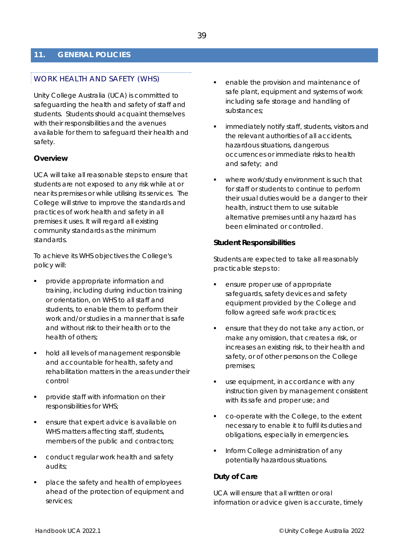#### **11. GENERAL POLICIES**

#### WORK HEALTH AND SAFETY (WHS)

Unity College Australia (UCA) is committed to safeguarding the health and safety of staff and students. Students should acquaint themselves with their responsibilities and the avenues available for them to safeguard their health and safety.

#### **Overview**

UCA will take all reasonable steps to ensure that students are not exposed to any risk while at or near its premises or while utilising its services. The College will strive to improve the standards and practices of work health and safety in all premises it uses. It will regard all existing community standards as the minimum standards.

To achieve its WHS objectives the College's policy will:

- provide appropriate information and training, including during induction training or orientation, on WHS to all staff and students, to enable them to perform their work and/or studies in a manner that is safe and without risk to their health or to the health of others;
- hold all levels of management responsible and accountable for health, safety and rehabilitation matters in the areas under their control
- provide staff with information on their responsibilities for WHS;
- ensure that expert advice is available on WHS matters affecting staff, students, members of the public and contractors;
- conduct regular work health and safety audits;
- place the safety and health of employees ahead of the protection of equipment and services;
- enable the provision and maintenance of safe plant, equipment and systems of work including safe storage and handling of substances;
- immediately notify staff, students, visitors and the relevant authorities of all accidents, hazardous situations, dangerous occurrences or immediate risks to health and safety; and
- where work/study environment is such that for staff or students to continue to perform their usual duties would be a danger to their health, instruct them to use suitable alternative premises until any hazard has been eliminated or controlled.

#### **Student Responsibilities**

Students are expected to take all reasonably practicable steps to:

- ensure proper use of appropriate safeguards, safety devices and safety equipment provided by the College and follow agreed safe work practices;
- ensure that they do not take any action, or make any omission, that creates a risk, or increases an existing risk, to their health and safety, or of other persons on the College premises;
- use equipment, in accordance with any instruction given by management consistent with its safe and proper use; and
- co-operate with the College, to the extent necessary to enable it to fulfil its duties and obligations, especially in emergencies.
- Inform College administration of any potentially hazardous situations.

#### **Duty of Care**

UCA will ensure that all written or oral information or advice given is accurate, timely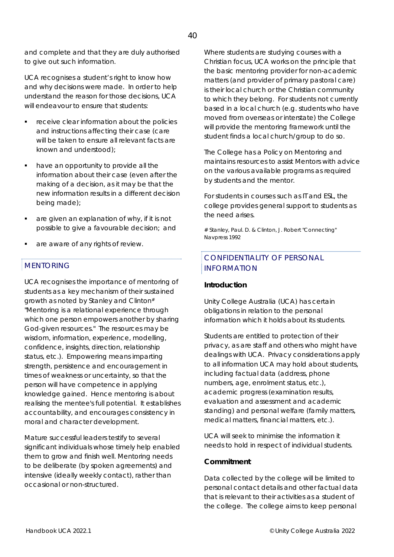and complete and that they are duly authorised to give out such information.

UCA recognises a student's right to know how and why decisions were made. In order to help understand the reason for those decisions, UCA will endeavour to ensure that students:

- receive clear information about the policies and instructions affecting their case (care will be taken to ensure all relevant facts are known and understood);
- have an opportunity to provide all the information about their case (even after the making of a decision, as it may be that the new information results in a different decision being made);
- are given an explanation of why, if it is not possible to give a favourable decision; and
- are aware of any rights of review.

#### MENTORING

UCA recognises the importance of mentoring of students as a key mechanism of their sustained growth as noted by Stanley and Clinton# "Mentoring is a relational experience through which one person empowers another by sharing God-given resources." The resources may be wisdom, information, experience, modelling, confidence, insights, direction, relationship status, etc.). Empowering means imparting strength, persistence and encouragement in times of weakness or uncertainty, so that the person will have competence in applying knowledge gained. Hence mentoring is about realising the mentee's full potential. It establishes accountability, and encourages consistency in moral and character development.

Mature successful leaders testify to several significant individuals whose timely help enabled them to grow and finish well. Mentoring needs to be deliberate (by spoken agreements) and intensive (ideally weekly contact), rather than occasional or non-structured.

Where students are studying courses with a Christian focus, UCA works on the principle that the basic mentoring provider for non-academic matters (and provider of primary pastoral care) is their local church or the Christian community to which they belong. For students not currently based in a local church (e.g. students who have moved from overseas or interstate) the College will provide the mentoring framework until the student finds a local church/group to do so.

The College has a Policy on Mentoring and maintains resources to assist Mentors with advice on the various available programs as required by students and the mentor.

For students in courses such as IT and ESL, the college provides general support to students as the need arises.

# Stanley, Paul. D. & Clinton, J. Robert "Connecting" Navpress 1992

#### CONFIDENTIALITY OF PERSONAL INFORMATION

#### **Introduction**

Unity College Australia (UCA) has certain obligations in relation to the personal information which it holds about its students.

Students are entitled to protection of their privacy, as are staff and others who might have dealings with UCA. Privacy considerations apply to all information UCA may hold about students, including factual data (address, phone numbers, age, enrolment status, etc.), academic progress (examination results, evaluation and assessment and academic standing) and personal welfare (family matters, medical matters, financial matters, etc.).

UCA will seek to minimise the information it needs to hold in respect of individual students.

#### **Commitment**

Data collected by the college will be limited to personal contact details and other factual data that is relevant to their activities as a student of the college. The college aims to keep personal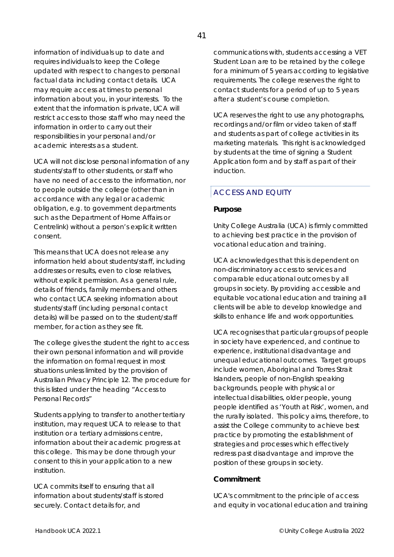information of individuals up to date and requires individuals to keep the College updated with respect to changes to personal factual data including contact details. UCA may require access at times to personal information about you, in your interests. To the extent that the information is private, UCA will restrict access to those staff who may need the information in order to carry out their responsibilities in your personal and/or academic interests as a student.

UCA will not disclose personal information of any students/staff to other students, or staff who have no need of access to the information, nor to people outside the college (other than in accordance with any legal or academic obligation, e.g. to government departments such as the Department of Home Affairs or Centrelink) without a person's explicit written consent.

This means that UCA does not release any information held about students/staff, including addresses or results, even to close relatives, without explicit permission. As a general rule, details of friends, family members and others who contact UCA seeking information about students/staff (including personal contact details) will be passed on to the student/staff member, for action as they see fit.

The college gives the student the right to access their own personal information and will provide the information on formal request in most situations unless limited by the provision of Australian Privacy Principle 12. The procedure for this is listed under the heading "Access to Personal Records"

Students applying to transfer to another tertiary institution, may request UCA to release to that institution or a tertiary admissions centre, information about their academic progress at this college. This may be done through your consent to this in your application to a new institution.

UCA commits itself to ensuring that all information about students/staff is stored securely. Contact details for, and

communications with, students accessing a VET Student Loan are to be retained by the college for a minimum of 5 years according to legislative requirements. The college reserves the right to contact students for a period of up to 5 years after a student's course completion.

UCA reserves the right to use any photographs, recordings and/or film or video taken of staff and students as part of college activities in its marketing materials. This right is acknowledged by students at the time of signing a Student Application form and by staff as part of their induction.

#### ACCESS AND EQUITY

#### **Purpose**

Unity College Australia (UCA) is firmly committed to achieving best practice in the provision of vocational education and training.

UCA acknowledges that this is dependent on non-discriminatory access to services and comparable educational outcomes by all groups in society. By providing accessible and equitable vocational education and training all clients will be able to develop knowledge and skills to enhance life and work opportunities.

UCA recognises that particular groups of people in society have experienced, and continue to experience, institutional disadvantage and unequal educational outcomes. Target groups include women, Aboriginal and Torres Strait Islanders, people of non-English speaking backgrounds, people with physical or intellectual disabilities, older people, young people identified as 'Youth at Risk', women, and the rurally isolated. This policy aims, therefore, to assist the College community to achieve best practice by promoting the establishment of strategies and processes which effectively redress past disadvantage and improve the position of these groups in society.

#### **Commitment**

UCA's commitment to the principle of access and equity in vocational education and training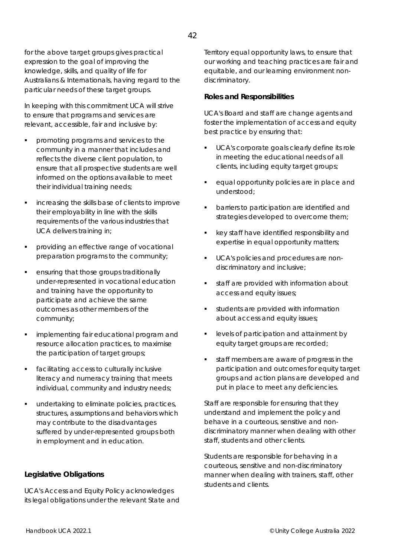42

outcomes as other members of the community;

 implementing fair educational program and resource allocation practices, to maximise the participation of target groups;

for the above target groups gives practical expression to the goal of improving the knowledge, skills, and quality of life for

particular needs of these target groups.

their individual training needs;

UCA delivers training in;

Australians & Internationals, having regard to the

In keeping with this commitment UCA will strive to ensure that programs and services are relevant, accessible, fair and inclusive by:

 promoting programs and services to the community in a manner that includes and reflects the diverse client population, to ensure that all prospective students are well informed on the options available to meet

increasing the skills base of clients to improve

 providing an effective range of vocational preparation programs to the community;

 ensuring that those groups traditionally under-represented in vocational education

and training have the opportunity to participate and achieve the same

their employability in line with the skills requirements of the various industries that

 facilitating access to culturally inclusive literacy and numeracy training that meets individual, community and industry needs;

 undertaking to eliminate policies, practices, structures, assumptions and behaviors which may contribute to the disadvantages suffered by under-represented groups both in employment and in education.

**Legislative Obligations** 

UCA's Access and Equity Policy acknowledges its legal obligations under the relevant State and Territory equal opportunity laws, to ensure that our working and teaching practices are fair and equitable, and our learning environment nondiscriminatory.

#### **Roles and Responsibilities**

UCA's Board and staff are change agents and foster the implementation of access and equity best practice by ensuring that:

- UCA's corporate goals clearly define its role in meeting the educational needs of all clients, including equity target groups;
- **equal opportunity policies are in place and** understood;
- barriers to participation are identified and strategies developed to overcome them;
- key staff have identified responsibility and expertise in equal opportunity matters;
- UCA's policies and procedures are nondiscriminatory and inclusive;
- staff are provided with information about access and equity issues;
- students are provided with information about access and equity issues;
- **EXEC** levels of participation and attainment by equity target groups are recorded;
- staff members are aware of progress in the participation and outcomes for equity target groups and action plans are developed and put in place to meet any deficiencies.

Staff are responsible for ensuring that they understand and implement the policy and behave in a courteous, sensitive and nondiscriminatory manner when dealing with other staff, students and other clients.

Students are responsible for behaving in a courteous, sensitive and non-discriminatory manner when dealing with trainers, staff, other students and clients.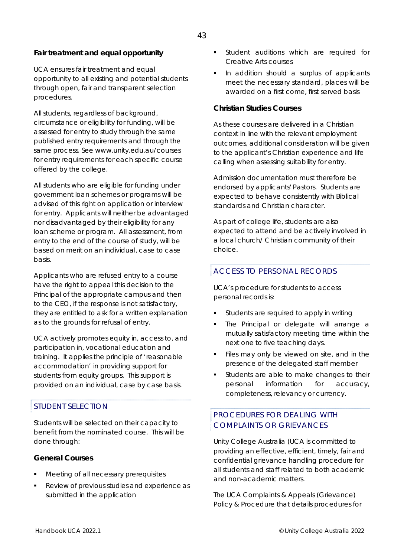#### **Fair treatment and equal opportunity**

UCA ensures fair treatment and equal opportunity to all existing and potential students through open, fair and transparent selection procedures.

All students, regardless of background, circumstance or eligibility for funding, will be assessed for entry to study through the same published entry requirements and through the same process. See *www.unity.edu.au/courses* for entry requirements for each specific course offered by the college.

All students who are eligible for funding under government loan schemes or programs will be advised of this right on application or interview for entry. Applicants will neither be advantaged nor disadvantaged by their eligibility for any loan scheme or program. All assessment, from entry to the end of the course of study, will be based on merit on an individual, case to case basis.

Applicants who are refused entry to a course have the right to appeal this decision to the Principal of the appropriate campus and then to the CEO, if the response is not satisfactory, they are entitled to ask for a written explanation as to the grounds for refusal of entry.

UCA actively promotes equity in, access to, and participation in, vocational education and training. It applies the principle of 'reasonable accommodation' in providing support for students from equity groups. This support is provided on an individual, case by case basis.

#### STUDENT SELECTION

Students will be selected on their capacity to benefit from the nominated course. This will be done through:

#### **General Courses**

- Meeting of all necessary prerequisites
- Review of previous studies and experience as submitted in the application
- Student auditions which are required for Creative Arts courses
- In addition should a surplus of applicants meet the necessary standard, places will be awarded on a first come, first served basis

#### **Christian Studies Courses**

As these courses are delivered in a Christian context in line with the relevant employment outcomes, additional consideration will be given to the applicant's Christian experience and life calling when assessing suitability for entry.

Admission documentation must therefore be endorsed by applicants' Pastors. Students are expected to behave consistently with Biblical standards and Christian character.

As part of college life, students are also expected to attend and be actively involved in a local church/ Christian community of their choice.

#### ACCESS TO PERSONAL RECORDS

UCA's procedure for students to access personal records is:

- Students are required to apply in writing
- The Principal or delegate will arrange a mutually satisfactory meeting time within the next one to five teaching days.
- Files may only be viewed on site, and in the presence of the delegated staff member
- Students are able to make changes to their personal information for accuracy, completeness, relevancy or currency.

#### PROCEDURES FOR DEALING WITH COMPLAINTS OR GRIEVANCES

Unity College Australia (UCA is committed to providing an effective, efficient, timely, fair and confidential grievance handling procedure for all students and staff related to both academic and non-academic matters.

The UCA *Complaints & Appeals (Grievance) Policy & Procedure* that details procedures for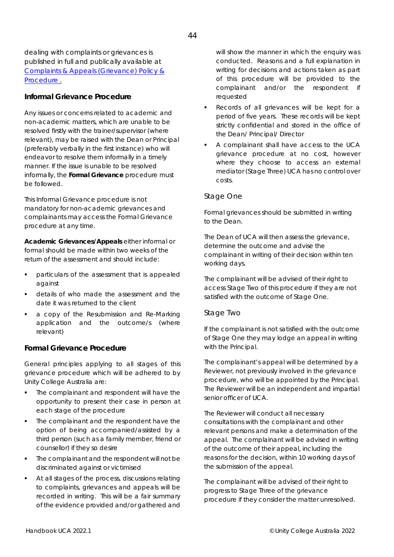dealing with complaints or grievances is published in full and publically available at *Complaints & Appeals (Grievance) Policy & Procedure .*

#### **Informal Grievance Procedure**

Any issues or concerns related to academic and non-academic matters, which are unable to be resolved firstly with the trainer/supervisor (where relevant), may be raised with the Dean or Principal (preferably verbally in the first instance) who will endeavor to resolve them informally in a timely manner. If the issue is unable to be resolved informally, the *Formal Grievance* procedure must be followed.

This *Informal Grievance* procedure is not mandatory for non-academic grievances and complainants may access the *Formal Grievance* procedure at any time.

*Academic Grievances/Appeals* either informal or formal should be made within two weeks of the return of the assessment and should include:

- particulars of the assessment that is appealed against
- details of who made the assessment and the date it was returned to the client
- a copy of the Resubmission and Re-Marking application and the outcome/s (where relevant)

#### **Formal Grievance Procedure**

General principles applying to all stages of this grievance procedure which will be adhered to by Unity College Australia are:

- The complainant and respondent will have the opportunity to present their case in person at each stage of the procedure
- The complainant and the respondent have the option of being accompanied/assisted by a third person (such as a family member, friend or counsellor) if they so desire
- The complainant and the respondent will not be discriminated against or victimised
- At all stages of the process, discussions relating to complaints, grievances and appeals will be recorded in writing. This will be a fair summary of the evidence provided and/or gathered and

will show the manner in which the enquiry was conducted. Reasons and a full explanation in writing for decisions and actions taken as part of this procedure will be provided to the complainant and/or the respondent if requested

- Records of all grievances will be kept for a period of five years. These records will be kept strictly confidential and stored in the office of the Dean/ Principal/ Director
- A complainant shall have access to the UCA grievance procedure at no cost, however where they choose to access an external mediator (Stage Three) UCA has no control over costs.

#### *Stage One*

Formal grievances should be submitted in writing to the Dean.

The Dean of UCA will then assess the grievance, determine the outcome and advise the complainant in writing of their decision within ten working days.

The complainant will be advised of their right to access Stage Two of this procedure if they are not satisfied with the outcome of Stage One.

#### *Stage Two*

If the complainant is not satisfied with the outcome of Stage One they may lodge an appeal in writing with the Principal.

The complainant's appeal will be determined by a Reviewer, not previously involved in the grievance procedure, who will be appointed by the Principal. The Reviewer will be an independent and impartial senior officer of UCA.

The Reviewer will conduct all necessary consultations with the complainant and other relevant persons and make a determination of the appeal. The complainant will be advised in writing of the outcome of their appeal, including the reasons for the decision, within 10 working days of the submission of the appeal.

The complainant will be advised of their right to progress to Stage Three of the grievance procedure if they consider the matter unresolved.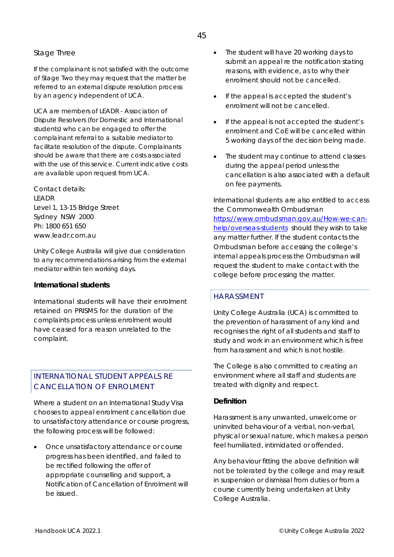#### *Stage Three*

If the complainant is not satisfied with the outcome of Stage Two they may request that the matter be referred to an external dispute resolution process by an agency independent of UCA.

UCA are members of LEADR - Association of Dispute Resolvers (for Domestic and International students) who can be engaged to offer the complainant referral to a suitable mediator to facilitate resolution of the dispute. Complainants should be aware that there are costs associated with the use of this service. Current indicative costs are available upon request from UCA.

Contact details: LEADR Level 1, 13-15 Bridge Street Sydney NSW 2000 Ph: 1800 651 650 www.leadr.com.au

Unity College Australia will give due consideration to any recommendations arising from the external mediator within ten working days.

#### **International students**

International students will have their enrolment retained on PRISMS for the duration of the complaints process unless enrolment would have ceased for a reason unrelated to the complaint.

#### INTERNATIONAL STUDENT APPEALS RE CANCELLATION OF ENROLMENT

Where a student on an International Study Visa chooses to appeal enrolment cancellation due to unsatisfactory attendance or course progress, the following process will be followed:

 Once unsatisfactory attendance or course progress has been identified, and failed to be rectified following the offer of appropriate counselling and support, a Notification of Cancellation of Enrolment will be issued.

- The student will have 20 working days to submit an appeal re the notification stating reasons, with evidence, as to why their enrolment should not be cancelled.
- If the appeal is accepted the student's enrolment will not be cancelled.
- If the appeal is not accepted the student's enrolment and CoE will be cancelled within 5 working days of the decision being made.
- The student may continue to attend classes during the appeal period unless the cancellation is also associated with a default on fee payments.

International students are also entitled to access the Commonwealth Ombudsman

*https://www.ombudsman.gov.au/How-we-canhelp/overseas-students* should they wish to take any matter further. If the student contacts the Ombudsman before accessing the college's internal appeals process the Ombudsman will request the student to make contact with the college before processing the matter.

#### HARASSMENT

Unity College Australia (UCA) is committed to the prevention of harassment of any kind and recognises the right of all students and staff to study and work in an environment which is free from harassment and which is not hostile.

The College is also committed to creating an environment where all staff and students are treated with dignity and respect.

#### **Definition**

Harassment is any unwanted, unwelcome or uninvited behaviour of a verbal, non-verbal, physical or sexual nature, which makes a person feel humiliated, intimidated or offended.

Any behaviour fitting the above definition will not be tolerated by the college and may result in suspension or dismissal from duties or from a course currently being undertaken at Unity College Australia.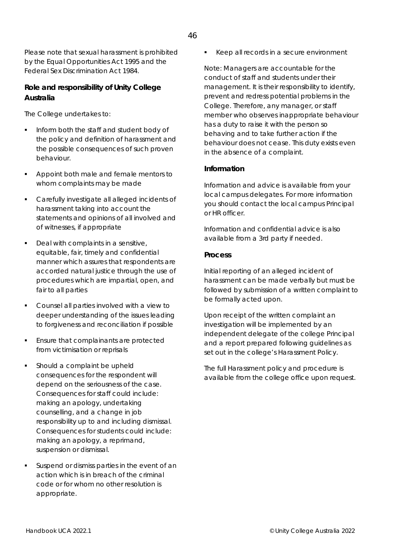Please note that sexual harassment is prohibited by the Equal Opportunities Act 1995 and the Federal Sex Discrimination Act 1984.

#### **Role and responsibility of Unity College Australia**

The College undertakes to:

- Inform both the staff and student body of the policy and definition of harassment and the possible consequences of such proven behaviour.
- Appoint both male and female mentors to whom complaints may be made
- Carefully investigate all alleged incidents of harassment taking into account the statements and opinions of all involved and of witnesses, if appropriate
- Deal with complaints in a sensitive, equitable, fair, timely and confidential manner which assures that respondents are accorded natural justice through the use of procedures which are impartial, open, and fair to all parties
- Counsel all parties involved with a view to deeper understanding of the issues leading to forgiveness and reconciliation if possible
- Ensure that complainants are protected from victimisation or reprisals
- Should a complaint be upheld consequences for the respondent will depend on the seriousness of the case. Consequences for staff could include: making an apology, undertaking counselling, and a change in job responsibility up to and including dismissal. Consequences for students could include: making an apology, a reprimand, suspension or dismissal.
- Suspend or dismiss parties in the event of an action which is in breach of the criminal code or for whom no other resolution is appropriate.

Keep all records in a secure environment

Note: Managers are accountable for the conduct of staff and students under their management. It is their responsibility to identify, prevent and redress potential problems in the College. Therefore, any manager, or staff member who observes inappropriate behaviour has a duty to raise it with the person so behaving and to take further action if the behaviour does not cease. This duty exists even in the absence of a complaint.

#### **Information**

Information and advice is available from your local campus delegates. For more information you should contact the local campus Principal or HR officer.

Information and confidential advice is also available from a 3rd party if needed.

#### **Process**

Initial reporting of an alleged incident of harassment can be made verbally but must be followed by submission of a written complaint to be formally acted upon.

Upon receipt of the written complaint an investigation will be implemented by an independent delegate of the college Principal and a report prepared following guidelines as set out in the college's Harassment Policy.

The full Harassment policy and procedure is available from the college office upon request.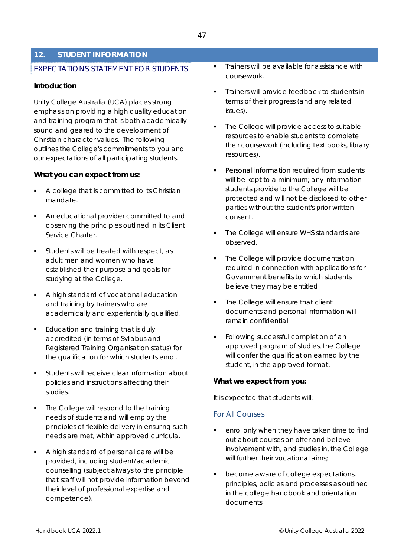#### **12. STUDENT INFORMATION**

#### EXPECTATIONS STATEMENT FOR STUDENTS

#### **Introduction**

Unity College Australia (UCA) places strong emphasis on providing a high quality education and training program that is both academically sound and geared to the development of Christian character values. The following outlines the College's commitments to you and our expectations of all participating students.

#### **What you can expect from us:**

- A college that is committed to its Christian mandate.
- An educational provider committed to and observing the principles outlined in its Client Service Charter.
- Students will be treated with respect, as adult men and women who have established their purpose and goals for studying at the College.
- A high standard of vocational education and training by trainers who are academically and experientially qualified.
- **Education and training that is duly** accredited (in terms of Syllabus and Registered Training Organisation status) for the qualification for which students enrol.
- Students will receive clear information about policies and instructions affecting their studies.
- The College will respond to the training needs of students and will employ the principles of flexible delivery in ensuring such needs are met, within approved curricula.
- A high standard of personal care will be provided, including student/academic counselling (subject always to the principle that staff will not provide information beyond their level of professional expertise and competence).
- Trainers will be available for assistance with coursework.
- Trainers will provide feedback to students in terms of their progress (and any related issues).
- The College will provide access to suitable resources to enable students to complete their coursework (including text books, library resources).
- Personal information required from students will be kept to a minimum; any information students provide to the College will be protected and will not be disclosed to other parties without the student's prior written consent.
- The College will ensure WHS standards are observed.
- The College will provide documentation required in connection with applications for Government benefits to which students believe they may be entitled.
- The College will ensure that client documents and personal information will remain confidential.
- Following successful completion of an approved program of studies, the College will confer the qualification earned by the student, in the approved format.

#### **What we expect from you:**

It is expected that students will:

#### *For All Courses*

- enrol only when they have taken time to find out about courses on offer and believe involvement with, and studies in, the College will further their vocational aims;
- become aware of college expectations, principles, policies and processes as outlined in the college handbook and orientation documents.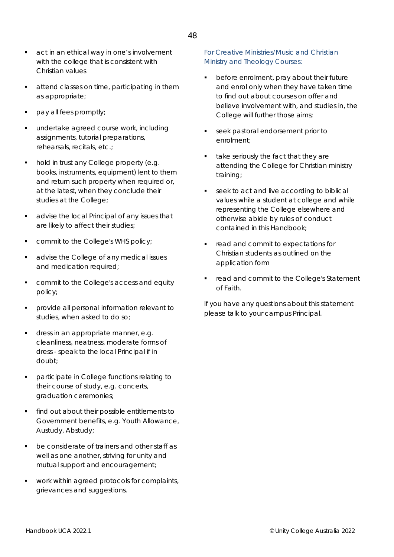- **act in an ethical way in one's involvement** with the college that is consistent with Christian values
- attend classes on time, participating in them as appropriate;
- pay all fees promptly;
- undertake agreed course work, including assignments, tutorial preparations, rehearsals, recitals, etc.;
- hold in trust any College property (e.g. books, instruments, equipment) lent to them and return such property when required or, at the latest, when they conclude their studies at the College;
- advise the local Principal of any issues that are likely to affect their studies;
- commit to the College's WHS policy;
- advise the College of any medical issues and medication required;
- commit to the College's access and equity policy;
- provide all personal information relevant to studies, when asked to do so;
- dress in an appropriate manner, e.g. cleanliness, neatness, moderate forms of dress - speak to the local Principal if in doubt;
- participate in College functions relating to their course of study, e.g. concerts, graduation ceremonies;
- find out about their possible entitlements to Government benefits, e.g. Youth Allowance, Austudy, Abstudy;
- be considerate of trainers and other staff as well as one another, striving for unity and mutual support and encouragement;
- work within agreed protocols for complaints, grievances and suggestions.

#### *For Creative Ministries/Music and Christian Ministry and Theology Courses:*

- before enrolment, pray about their future and enrol only when they have taken time to find out about courses on offer and believe involvement with, and studies in, the College will further those aims;
- **seek pastoral endorsement prior to** enrolment;
- take seriously the fact that they are attending the College for Christian ministry training;
- seek to act and live according to biblical values while a student at college and while representing the College elsewhere and otherwise abide by rules of conduct contained in this Handbook;
- **•** read and commit to expectations for Christian students as outlined on the application form
- **F** read and commit to the College's Statement of Faith.

If you have any questions about this statement please talk to your campus Principal.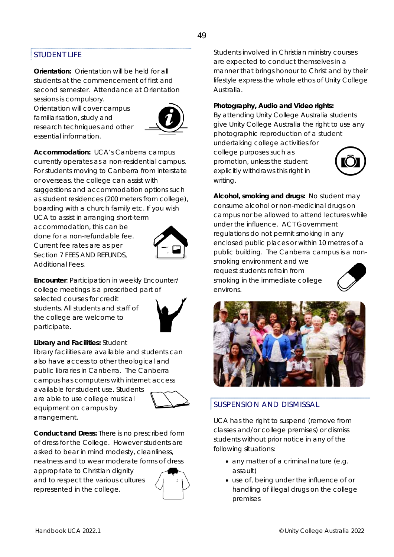#### STUDENT LIFE

**Orientation:** Orientation will be held for all students at the commencement of first and second semester. Attendance at Orientation sessions is compulsory.

Orientation will cover campus familiarisation, study and research techniques and other essential information.



**Accommodation:** UCA's Canberra campus currently operates as a non-residential campus. For students moving to Canberra from interstate or overseas, the college can assist with suggestions and accommodation options such as student residences (200 meters from college), boarding with a church family etc. If you wish

UCA to assist in arranging short-term accommodation, this can be done for a non-refundable fee. Current fee rates are as per Section 7 FEES AND REFUNDS, Additional Fees.



**Encounter**: Participation in weekly Encounter/ college meetings is a prescribed part of selected courses for credit students. All students and staff of the college are welcome to participate.

#### **Library and Facilities:** Student

library facilities are available and students can also have access to other theological and public libraries in Canberra. The Canberra campus has computers with internet access available for student use. Students are able to use college musical equipment on campus by arrangement.



**Conduct and Dress:** There is no prescribed form of dress for the College. However students are asked to bear in mind modesty, cleanliness, neatness and to wear moderate forms of dress

appropriate to Christian dignity and to respect the various cultures represented in the college.



Students involved in Christian ministry courses are expected to conduct themselves in a manner that brings honour to Christ and by their lifestyle express the whole ethos of Unity College Australia.

#### **Photography, Audio and Video rights:**

By attending Unity College Australia students give Unity College Australia the right to use any photographic reproduction of a student

undertaking college activities for college purposes such as promotion, unless the student explicitly withdraws this right in writing.



**Alcohol, smoking and drugs:** No student may consume alcohol or non-medicinal drugs on campus nor be allowed to attend lectures while under the influence. ACT Government regulations do not permit smoking in any enclosed public places or within 10 metres of a public building. The Canberra campus is a nonsmoking environment and we request students refrain from smoking in the immediate college environs.



#### SUSPENSION AND DISMISSAL

UCA has the right to suspend (remove from classes and/or college premises) or dismiss students without prior notice in any of the following situations:

- any matter of a criminal nature (e.g. assault)
- use of, being under the influence of or handling of illegal drugs on the college premises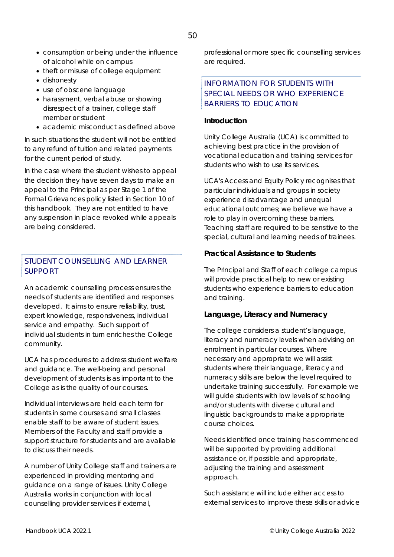- consumption or being under the influence of alcohol while on campus
- theft or misuse of college equipment
- dishonesty
- use of obscene language
- harassment, verbal abuse or showing disrespect of a trainer, college staff member or student
- academic misconduct as defined above

In such situations the student will not be entitled to any refund of tuition and related payments for the current period of study.

In the case where the student wishes to appeal the decision they have seven days to make an appeal to the Principal as per Stage 1 of the Formal Grievances policy listed in Section 10 of this handbook. They are not entitled to have any suspension in place revoked while appeals are being considered.

#### STUDENT COUNSELLING AND LEARNER SUPPORT

An academic counselling process ensures the needs of students are identified and responses developed. It aims to ensure reliability, trust, expert knowledge, responsiveness, individual service and empathy. Such support of individual students in turn enriches the College community.

UCA has procedures to address student welfare and guidance. The well-being and personal development of students is as important to the College as is the quality of our courses.

Individual interviews are held each term for students in some courses and small classes enable staff to be aware of student issues. Members of the Faculty and staff provide a support structure for students and are available to discuss their needs.

A number of Unity College staff and trainers are experienced in providing mentoring and guidance on a range of issues. Unity College Australia works in conjunction with local counselling provider services if external,

professional or more specific counselling services are required.

#### INFORMATION FOR STUDENTS WITH SPECIAL NEEDS OR WHO EXPERIENCE BARRIERS TO EDUCATION

#### **Introduction**

Unity College Australia (UCA) is committed to achieving best practice in the provision of vocational education and training services for students who wish to use its services.

UCA's Access and Equity Policy recognises that particular individuals and groups in society experience disadvantage and unequal educational outcomes; we believe we have a role to play in overcoming these barriers. Teaching staff are required to be sensitive to the special, cultural and learning needs of trainees.

#### **Practical Assistance to Students**

The Principal and Staff of each college campus will provide practical help to new or existing students who experience barriers to education and training.

#### **Language, Literacy and Numeracy**

The college considers a student's language, literacy and numeracy levels when advising on enrolment in particular courses. Where necessary and appropriate we will assist students where their language, literacy and numeracy skills are below the level required to undertake training successfully. For example we will guide students with low levels of schooling and/or students with diverse cultural and linguistic backgrounds to make appropriate course choices.

Needs identified once training has commenced will be supported by providing additional assistance or, if possible and appropriate, adjusting the training and assessment approach.

Such assistance will include either access to external services to improve these skills or advice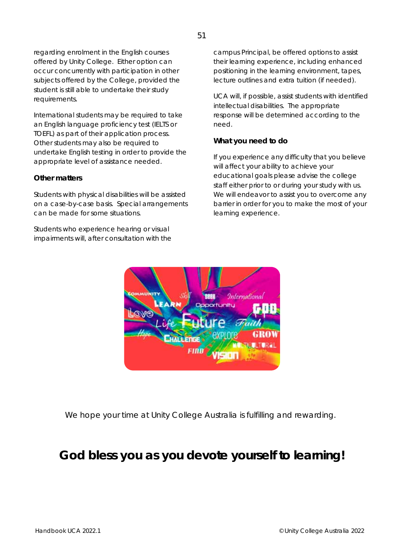regarding enrolment in the English courses offered by Unity College. Either option can occur concurrently with participation in other subjects offered by the College, provided the student is still able to undertake their study requirements.

International students may be required to take an English language proficiency test (IELTS or TOEFL) as part of their application process. Other students may also be required to undertake English testing in order to provide the appropriate level of assistance needed.

#### **Other matters**

Students with physical disabilities will be assisted on a case-by-case basis. Special arrangements can be made for some situations.

Students who experience hearing or visual impairments will, after consultation with the campus Principal, be offered options to assist their learning experience, including enhanced positioning in the learning environment, tapes, lecture outlines and extra tuition (if needed).

UCA will, if possible, assist students with identified intellectual disabilities. The appropriate response will be determined according to the need.

#### **What you need to do**

If you experience any difficulty that you believe will affect your ability to achieve your educational goals please advise the college staff either prior to or during your study with us. We will endeavor to assist you to overcome any barrier in order for you to make the most of your learning experience.



We hope your time at Unity College Australia is fulfilling and rewarding.

### *God bless you as you devote yourself to learning!*